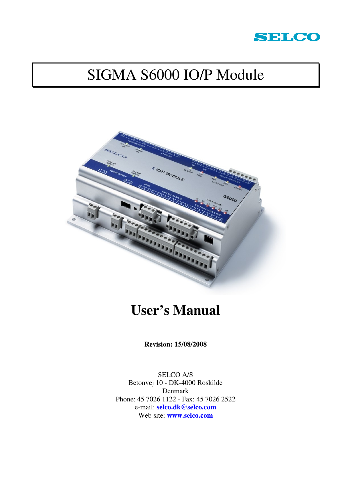

# SIGMA S6000 IO/P Module



# **User's Manual**

**Revision: 15/08/2008** 

SELCO A/S Betonvej 10 - DK-4000 Roskilde Denmark Phone: 45 7026 1122 - Fax: 45 7026 2522 e-mail: **selco.dk@selco.com** Web site: **www.selco.com**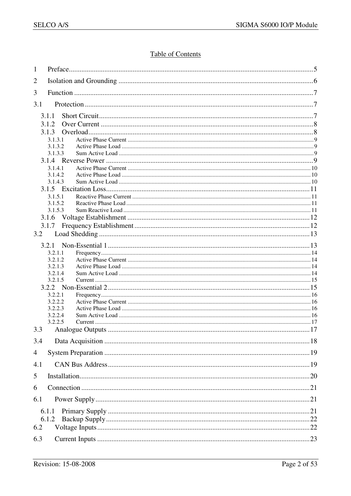## **Table of Contents**

| 1              |                    |  |
|----------------|--------------------|--|
| $\overline{2}$ |                    |  |
| 3              |                    |  |
| 3.1            |                    |  |
|                |                    |  |
|                | 3.1.1<br>3.1.2     |  |
|                | 3.1.3              |  |
|                | 3.1.3.1            |  |
|                | 3.1.3.2            |  |
|                | 3.1.3.3            |  |
|                | 3.1.4.1            |  |
|                | 3.1.4.2            |  |
|                | 3.1.4.3            |  |
|                |                    |  |
|                | 3.1.5.1            |  |
|                | 3.1.5.2<br>3.1.5.3 |  |
|                |                    |  |
|                | 3.1.7              |  |
| 3.2            |                    |  |
|                | 3.2.1              |  |
|                | 3.2.1.1            |  |
|                | 3.2.1.2            |  |
|                | 3.2.1.3            |  |
|                | 3.2.1.4            |  |
|                | 3.2.1.5            |  |
|                | 3.2.2.1            |  |
|                | 3.2.2.2            |  |
|                | 3.2.2.3            |  |
|                | 3.2.2.4            |  |
|                | 3.2.2.5            |  |
|                |                    |  |
| 3.4            |                    |  |
| 4              |                    |  |
| 4.1            |                    |  |
| 5              |                    |  |
| 6              |                    |  |
| 6.1            |                    |  |
|                | 6.1.1              |  |
|                | 6.1.2              |  |
| 6.2            |                    |  |
| 6.3            |                    |  |
|                |                    |  |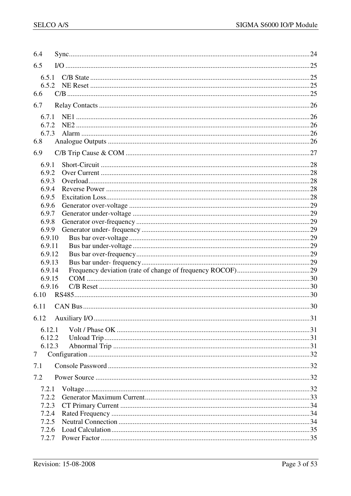| 6.4    |  |
|--------|--|
| 6.5    |  |
| 6.5.1  |  |
| 6.5.2  |  |
| 6.6    |  |
| 6.7    |  |
| 6.7.1  |  |
| 6.7.2  |  |
| 6.7.3  |  |
| 6.8    |  |
| 6.9    |  |
| 6.9.1  |  |
| 6.9.2  |  |
| 6.9.3  |  |
| 6.9.4  |  |
| 6.9.5  |  |
| 6.9.6  |  |
| 6.9.7  |  |
| 6.9.8  |  |
| 6.9.9  |  |
| 6.9.10 |  |
| 6.9.11 |  |
| 6.9.12 |  |
| 6.9.13 |  |
| 6.9.14 |  |
| 6.9.15 |  |
| 6.9.16 |  |
| 6.10   |  |
| 6.11   |  |
|        |  |
| 6.12.1 |  |
| 6.12.2 |  |
| 6.12.3 |  |
| 7      |  |
| 7.1    |  |
| 7.2    |  |
| 7.2.1  |  |
| 7.2.2  |  |
| 7.2.3  |  |
| 7.2.4  |  |
| 7.2.5  |  |
| 7.2.6  |  |
| 7.2.7  |  |
|        |  |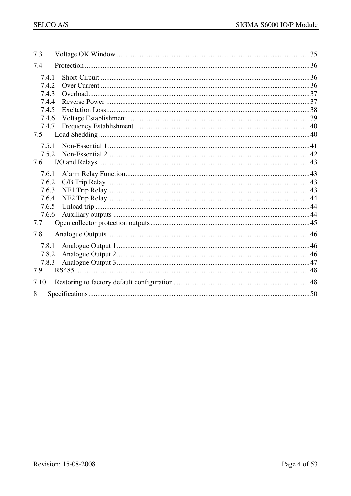| 7.3   |  |
|-------|--|
| 7.4   |  |
| 7.4.1 |  |
| 7.4.2 |  |
| 7.4.3 |  |
| 7.4.4 |  |
| 7.4.5 |  |
| 7.4.6 |  |
| 7.4.7 |  |
| 7.5   |  |
| 7.5.1 |  |
| 7.5.2 |  |
| 7.6   |  |
| 7.6.1 |  |
| 7.6.2 |  |
| 7.6.3 |  |
| 7.6.4 |  |
| 7.6.5 |  |
| 7.6.6 |  |
| 7.7   |  |
| 7.8   |  |
| 7.8.1 |  |
| 7.8.2 |  |
| 7.8.3 |  |
| 7.9   |  |
| 7.10  |  |
| 8     |  |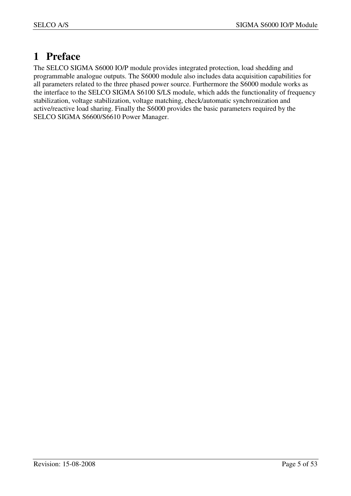## **1 Preface**

The SELCO SIGMA S6000 IO/P module provides integrated protection, load shedding and programmable analogue outputs. The S6000 module also includes data acquisition capabilities for all parameters related to the three phased power source. Furthermore the S6000 module works as the interface to the SELCO SIGMA S6100 S/LS module, which adds the functionality of frequency stabilization, voltage stabilization, voltage matching, check/automatic synchronization and active/reactive load sharing. Finally the S6000 provides the basic parameters required by the SELCO SIGMA S6600/S6610 Power Manager.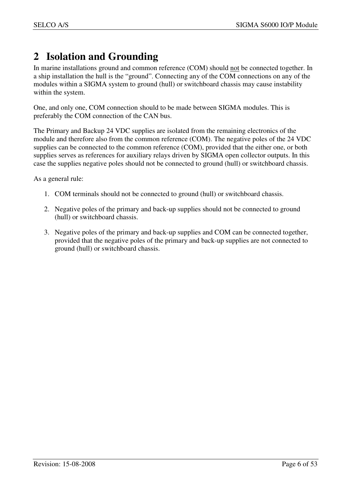## **2 Isolation and Grounding**

In marine installations ground and common reference (COM) should not be connected together. In a ship installation the hull is the "ground". Connecting any of the COM connections on any of the modules within a SIGMA system to ground (hull) or switchboard chassis may cause instability within the system.

One, and only one, COM connection should to be made between SIGMA modules. This is preferably the COM connection of the CAN bus.

The Primary and Backup 24 VDC supplies are isolated from the remaining electronics of the module and therefore also from the common reference (COM). The negative poles of the 24 VDC supplies can be connected to the common reference (COM), provided that the either one, or both supplies serves as references for auxiliary relays driven by SIGMA open collector outputs. In this case the supplies negative poles should not be connected to ground (hull) or switchboard chassis.

As a general rule:

- 1. COM terminals should not be connected to ground (hull) or switchboard chassis.
- 2. Negative poles of the primary and back-up supplies should not be connected to ground (hull) or switchboard chassis.
- 3. Negative poles of the primary and back-up supplies and COM can be connected together, provided that the negative poles of the primary and back-up supplies are not connected to ground (hull) or switchboard chassis.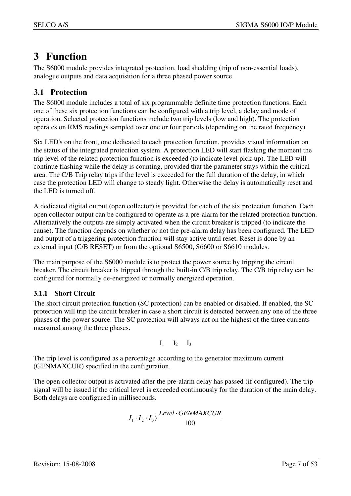## **3 Function**

The S6000 module provides integrated protection, load shedding (trip of non-essential loads), analogue outputs and data acquisition for a three phased power source.

## **3.1 Protection**

The S6000 module includes a total of six programmable definite time protection functions. Each one of these six protection functions can be configured with a trip level, a delay and mode of operation. Selected protection functions include two trip levels (low and high). The protection operates on RMS readings sampled over one or four periods (depending on the rated frequency).

Six LED's on the front, one dedicated to each protection function, provides visual information on the status of the integrated protection system. A protection LED will start flashing the moment the trip level of the related protection function is exceeded (to indicate level pick-up). The LED will continue flashing while the delay is counting, provided that the parameter stays within the critical area. The C/B Trip relay trips if the level is exceeded for the full duration of the delay, in which case the protection LED will change to steady light. Otherwise the delay is automatically reset and the LED is turned off.

A dedicated digital output (open collector) is provided for each of the six protection function. Each open collector output can be configured to operate as a pre-alarm for the related protection function. Alternatively the outputs are simply activated when the circuit breaker is tripped (to indicate the cause). The function depends on whether or not the pre-alarm delay has been configured. The LED and output of a triggering protection function will stay active until reset. Reset is done by an external input (C/B RESET) or from the optional S6500, S6600 or S6610 modules.

The main purpose of the S6000 module is to protect the power source by tripping the circuit breaker. The circuit breaker is tripped through the built-in C/B trip relay. The C/B trip relay can be configured for normally de-energized or normally energized operation.

## **3.1.1 Short Circuit**

The short circuit protection function (SC protection) can be enabled or disabled. If enabled, the SC protection will trip the circuit breaker in case a short circuit is detected between any one of the three phases of the power source. The SC protection will always act on the highest of the three currents measured among the three phases.

$$
I_1 \qquad I_2 \qquad I_3
$$

The trip level is configured as a percentage according to the generator maximum current (GENMAXCUR) specified in the configuration.

The open collector output is activated after the pre-alarm delay has passed (if configured). The trip signal will be issued if the critical level is exceeded continuously for the duration of the main delay. Both delays are configured in milliseconds.

$$
I_1 \cdot I_2 \cdot I_3 \rangle \frac{Level \cdot GENMAXCUR}{100}
$$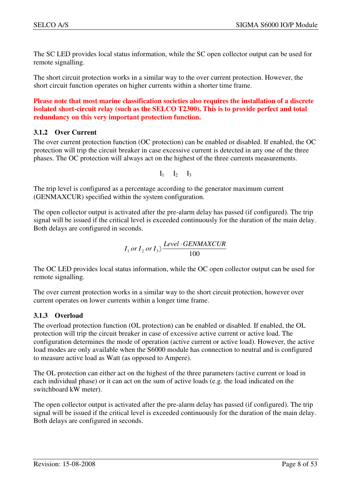The SC LED provides local status information, while the SC open collector output can be used for remote signalling.

The short circuit protection works in a similar way to the over current protection. However, the short circuit function operates on higher currents within a shorter time frame.

**Please note that most marine classification societies also requires the installation of a discrete isolated short-circuit relay (such as the SELCO T2300). This is to provide perfect and total redundancy on this very important protection function.** 

#### **3.1.2 Over Current**

The over current protection function (OC protection) can be enabled or disabled. If enabled, the OC protection will trip the circuit breaker in case excessive current is detected in any one of the three phases. The OC protection will always act on the highest of the three currents measurements.

 $I_1$   $I_2$   $I_3$ 

The trip level is configured as a percentage according to the generator maximum current (GENMAXCUR) specified within the system configuration.

The open collector output is activated after the pre-alarm delay has passed (if configured). The trip signal will be issued if the critical level is exceeded continuously for the duration of the main delay. Both delays are configured in seconds.

$$
I_1 \, or \, I_2 \, or \, I_3 \rangle \frac{Level \cdot GENMAXCUR}{100}
$$

The OC LED provides local status information, while the OC open collector output can be used for remote signalling.

The over current protection works in a similar way to the short circuit protection, however over current operates on lower currents within a longer time frame.

#### **3.1.3 Overload**

The overload protection function (OL protection) can be enabled or disabled. If enabled, the OL protection will trip the circuit breaker in case of excessive active current or active load. The configuration determines the mode of operation (active current or active load). However, the active load modes are only available when the S6000 module has connection to neutral and is configured to measure active load as Watt (as opposed to Ampere).

The OL protection can either act on the highest of the three parameters (active current or load in each individual phase) or it can act on the sum of active loads (e.g. the load indicated on the switchboard kW meter).

The open collector output is activated after the pre-alarm delay has passed (if configured). The trip signal will be issued if the critical level is exceeded continuously for the duration of the main delay. Both delays are configured in seconds.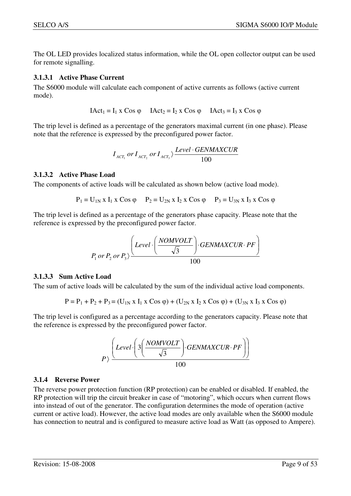The OL LED provides localized status information, while the OL open collector output can be used for remote signalling.

#### **3.1.3.1 Active Phase Current**

The S6000 module will calculate each component of active currents as follows (active current mode).

 $IAct_1 = I_1 \times \text{Cos } \varphi$   $IAct_2 = I_2 \times \text{Cos } \varphi$   $IAct_3 = I_3 \times \text{Cos } \varphi$ 

The trip level is defined as a percentage of the generators maximal current (in one phase). Please note that the reference is expressed by the preconfigured power factor.

$$
I_{ACT_1} \, or \, I_{ACT_2} \, or \, I_{ACT_3} \rangle \frac{Level \cdot GENMAXCUR}{100}
$$

#### **3.1.3.2 Active Phase Load**

The components of active loads will be calculated as shown below (active load mode).

 $P_1 = U_{1N}$  x  $I_1$  x Cos  $\varphi$   $P_2 = U_{2N}$  x  $I_2$  x Cos  $\varphi$   $P_3 = U_{3N}$  x  $I_3$  x Cos  $\varphi$ 

The trip level is defined as a percentage of the generators phase capacity. Please note that the reference is expressed by the preconfigured power factor.

$$
P_1 \text{ or } P_2 \text{ or } P_3 \rangle \frac{\left( \text{Level} \cdot \left( \frac{NOMVOLT}{\sqrt{3}} \right) \cdot \text{GENMAXCUR} \cdot \text{PF} \right)}{100}
$$

#### **3.1.3.3 Sum Active Load**

The sum of active loads will be calculated by the sum of the individual active load components.

$$
P = P_1 + P_2 + P_3 = (U_{1N} \times I_1 \times \text{Cos } \varphi) + (U_{2N} \times I_2 \times \text{Cos } \varphi) + (U_{3N} \times I_3 \times \text{Cos } \varphi)
$$

The trip level is configured as a percentage according to the generators capacity. Please note that the reference is expressed by the preconfigured power factor.

$$
P\rangle \frac{\left(Level \cdot \left(3\left(\frac{NOMVOLT}{\sqrt{3}}\right) \cdot GENMAXCUR \cdot PF\right)\right)}{100}
$$

#### **3.1.4 Reverse Power**

The reverse power protection function (RP protection) can be enabled or disabled. If enabled, the RP protection will trip the circuit breaker in case of "motoring", which occurs when current flows into instead of out of the generator. The configuration determines the mode of operation (active current or active load). However, the active load modes are only available when the S6000 module has connection to neutral and is configured to measure active load as Watt (as opposed to Ampere).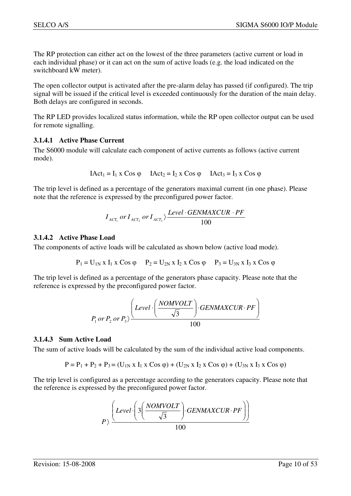The RP protection can either act on the lowest of the three parameters (active current or load in each individual phase) or it can act on the sum of active loads (e.g. the load indicated on the switchboard kW meter).

The open collector output is activated after the pre-alarm delay has passed (if configured). The trip signal will be issued if the critical level is exceeded continuously for the duration of the main delay. Both delays are configured in seconds.

The RP LED provides localized status information, while the RP open collector output can be used for remote signalling.

#### **3.1.4.1 Active Phase Current**

The S6000 module will calculate each component of active currents as follows (active current mode).

$$
IAct_1 = I_1 \times Cos \varphi \qquad IAct_2 = I_2 \times Cos \varphi \qquad IAct_3 = I_3 \times Cos \varphi
$$

The trip level is defined as a percentage of the generators maximal current (in one phase). Please note that the reference is expressed by the preconfigured power factor.

$$
I_{ACT_1} \, or \, I_{ACT_2} \, or \, I_{ACT_3} \rangle \frac{Level \cdot GENMAXCUR \cdot PF}{100}
$$

#### **3.1.4.2 Active Phase Load**

The components of active loads will be calculated as shown below (active load mode).

$$
P_1 = U_{1N} \times I_1 \times \text{Cos } \varphi
$$
  $P_2 = U_{2N} \times I_2 \times \text{Cos } \varphi$   $P_3 = U_{3N} \times I_3 \times \text{Cos } \varphi$ 

The trip level is defined as a percentage of the generators phase capacity. Please note that the reference is expressed by the preconfigured power factor.

$$
P_1 \text{ or } P_2 \text{ or } P_3 \rangle \frac{\left(Level \cdot \left(\frac{NOMVOLT}{\sqrt{3}}\right) \cdot GENMAXCUR \cdot PF\right)}{100}
$$

#### **3.1.4.3 Sum Active Load**

The sum of active loads will be calculated by the sum of the individual active load components.

$$
P = P_1 + P_2 + P_3 = (U_{1N} \times I_1 \times \text{Cos } \varphi) + (U_{2N} \times I_2 \times \text{Cos } \varphi) + (U_{3N} \times I_3 \times \text{Cos } \varphi)
$$

The trip level is configured as a percentage according to the generators capacity. Please note that the reference is expressed by the preconfigured power factor.

$$
P\rangle \frac{\left(Level \cdot \left(3\left(\frac{NOMVOLT}{\sqrt{3}}\right) \cdot GENMAXCUR \cdot PF\right)\right)}{100}
$$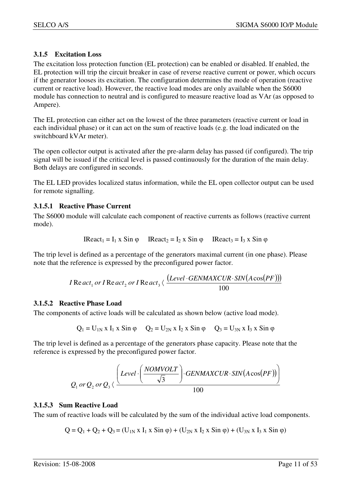## **3.1.5 Excitation Loss**

The excitation loss protection function (EL protection) can be enabled or disabled. If enabled, the EL protection will trip the circuit breaker in case of reverse reactive current or power, which occurs if the generator looses its excitation. The configuration determines the mode of operation (reactive current or reactive load). However, the reactive load modes are only available when the S6000 module has connection to neutral and is configured to measure reactive load as VAr (as opposed to Ampere).

The EL protection can either act on the lowest of the three parameters (reactive current or load in each individual phase) or it can act on the sum of reactive loads (e.g. the load indicated on the switchboard kVAr meter).

The open collector output is activated after the pre-alarm delay has passed (if configured). The trip signal will be issued if the critical level is passed continuously for the duration of the main delay. Both delays are configured in seconds.

The EL LED provides localized status information, while the EL open collector output can be used for remote signalling.

#### **3.1.5.1 Reactive Phase Current**

The S6000 module will calculate each component of reactive currents as follows (reactive current mode).

IReact1 = I1 x Sin φ IReact2 = I2 x Sin φ IReact3 = I3 x Sin φ

The trip level is defined as a percentage of the generators maximal current (in one phase). Please note that the reference is expressed by the preconfigured power factor.

$$
I\operatorname{Re} act_1 \ or \ I\operatorname{Re} act_2 \ or \ I\operatorname{Re} act_3 \langle \ \frac{(Level \cdot GENMAXCUR \cdot SIN(A\cos(PF)))}{100}
$$

#### **3.1.5.2 Reactive Phase Load**

The components of active loads will be calculated as shown below (active load mode).

$$
Q_1 = U_{1N} \times I_1 \times Sin \varphi
$$
  $Q_2 = U_{2N} \times I_2 \times Sin \varphi$   $Q_3 = U_{3N} \times I_3 \times Sin \varphi$ 

The trip level is defined as a percentage of the generators phase capacity. Please note that the reference is expressed by the preconfigured power factor.

$$
Q_1 \text{ or } Q_2 \text{ or } Q_3 \langle \frac{\left(Level \cdot \left( \frac{NOMVOLT}{\sqrt{3}}\right) \cdot GENMAXCUR \cdot SIN(A\cos(PF)) \right)}{100}
$$

#### **3.1.5.3 Sum Reactive Load**

The sum of reactive loads will be calculated by the sum of the individual active load components.

$$
Q = Q_1 + Q_2 + Q_3 = (U_{1N} \times I_1 \times Sin \varphi) + (U_{2N} \times I_2 \times Sin \varphi) + (U_{3N} \times I_3 \times Sin \varphi)
$$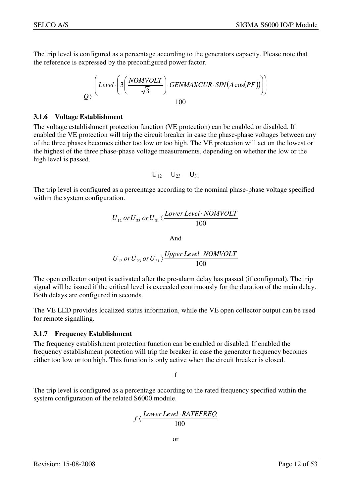The trip level is configured as a percentage according to the generators capacity. Please note that the reference is expressed by the preconfigured power factor.

$$
Q\left(\frac{Level \cdot \left(3\left(\frac{NOMVOLT}{\sqrt{3}}\right) \cdot GENMAXCUR \cdot SIN(A\cos(PF))\right)\right)}{100}
$$

#### **3.1.6 Voltage Establishment**

The voltage establishment protection function (VE protection) can be enabled or disabled. If enabled the VE protection will trip the circuit breaker in case the phase-phase voltages between any of the three phases becomes either too low or too high. The VE protection will act on the lowest or the highest of the three phase-phase voltage measurements, depending on whether the low or the high level is passed.

$$
U_{12}\hspace{0.1cm}U_{23}\hspace{0.1cm}U_{31}
$$

The trip level is configured as a percentage according to the nominal phase-phase voltage specified within the system configuration.

$$
U_{12} \, or \, U_{23} \, or \, U_{31} \langle \frac{Lower \, Level \cdot NOMVOLT}{100}
$$

And

$$
U_{12}\,or\,U_{23}\,or\,U_{31}\,\rangle\frac{\textit{Upper Level}\cdot\textit{NOMVOLT}}{100}
$$

The open collector output is activated after the pre-alarm delay has passed (if configured). The trip signal will be issued if the critical level is exceeded continuously for the duration of the main delay. Both delays are configured in seconds.

The VE LED provides localized status information, while the VE open collector output can be used for remote signalling.

#### **3.1.7 Frequency Establishment**

The frequency establishment protection function can be enabled or disabled. If enabled the frequency establishment protection will trip the breaker in case the generator frequency becomes either too low or too high. This function is only active when the circuit breaker is closed.

f

The trip level is configured as a percentage according to the rated frequency specified within the system configuration of the related S6000 module.

$$
f \, \langle \frac{Lower \, Level \cdot RATEREQ}{100}
$$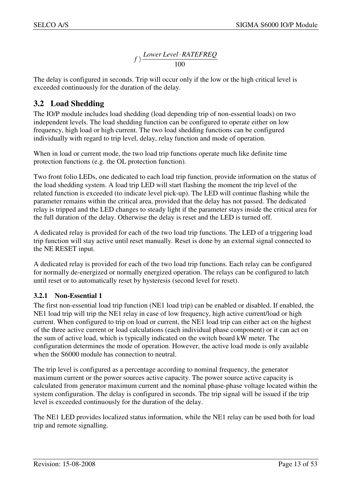100 *f*  $\rangle$  *Lower Level* · *RATEFREQ* 

The delay is configured in seconds. Trip will occur only if the low or the high critical level is exceeded continuously for the duration of the delay.

## **3.2 Load Shedding**

The IO/P module includes load shedding (load depending trip of non-essential loads) on two independent levels. The load shedding function can be configured to operate either on low frequency, high load or high current. The two load shedding functions can be configured individually with regard to trip level, delay, relay function and mode of operation.

When in load or current mode, the two load trip functions operate much like definite time protection functions (e.g. the OL protection function).

Two front folio LEDs, one dedicated to each load trip function, provide information on the status of the load shedding system. A load trip LED will start flashing the moment the trip level of the related function is exceeded (to indicate level pick-up). The LED will continue flashing while the parameter remains within the critical area, provided that the delay has not passed. The dedicated relay is tripped and the LED changes to steady light if the parameter stays inside the critical area for the full duration of the delay. Otherwise the delay is reset and the LED is turned off.

A dedicated relay is provided for each of the two load trip functions. The LED of a triggering load trip function will stay active until reset manually. Reset is done by an external signal connected to the NE RESET input.

A dedicated relay is provided for each of the two load trip functions. Each relay can be configured for normally de-energized or normally energized operation. The relays can be configured to latch until reset or to automatically reset by hysteresis (second level for reset).

## **3.2.1 Non-Essential 1**

The first non-essential load trip function (NE1 load trip) can be enabled or disabled. If enabled, the NE1 load trip will trip the NE1 relay in case of low frequency, high active current/load or high current. When configured to trip on load or current, the NE1 load trip can either act on the highest of the three active current or load calculations (each individual phase component) or it can act on the sum of active load, which is typically indicated on the switch board kW meter. The configuration determines the mode of operation. However, the active load mode is only available when the S6000 module has connection to neutral.

The trip level is configured as a percentage according to nominal frequency, the generator maximum current or the power sources active capacity. The power source active capacity is calculated from generator maximum current and the nominal phase-phase voltage located within the system configuration. The delay is configured in seconds. The trip signal will be issued if the trip level is exceeded continuously for the duration of the delay.

The NE1 LED provides localized status information, while the NE1 relay can be used both for load trip and remote signalling.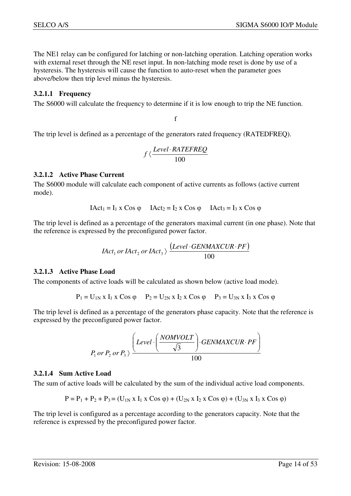The NE1 relay can be configured for latching or non-latching operation. Latching operation works with external reset through the NE reset input. In non-latching mode reset is done by use of a hysteresis. The hysteresis will cause the function to auto-reset when the parameter goes above/below then trip level minus the hysteresis.

#### **3.2.1.1 Frequency**

The S6000 will calculate the frequency to determine if it is low enough to trip the NE function.

f

The trip level is defined as a percentage of the generators rated frequency (RATEDFREQ).

$$
f \langle \frac{Level \cdot RATEREQ}{100}
$$

#### **3.2.1.2 Active Phase Current**

The S6000 module will calculate each component of active currents as follows (active current mode).

$$
IAct_1 = I_1 \times Cos \varphi \qquad IAct_2 = I_2 \times Cos \varphi \qquad IAct_3 = I_3 \times Cos \varphi
$$

The trip level is defined as a percentage of the generators maximal current (in one phase). Note that the reference is expressed by the preconfigured power factor.

$$
Hct_1 \text{ or } Hct_2 \text{ or } Hct_3 \rangle \frac{(Level \cdot GENMAXCUR \cdot PF)}{100}
$$

#### **3.2.1.3 Active Phase Load**

The components of active loads will be calculated as shown below (active load mode).

 $P_1 = U_{1N} x I_1 x \cos \varphi$   $P_2 = U_{2N} x I_2 x \cos \varphi$   $P_3 = U_{3N} x I_3 x \cos \varphi$ 

The trip level is defined as a percentage of the generators phase capacity. Note that the reference is expressed by the preconfigured power factor.

$$
P_1 \text{ or } P_2 \text{ or } P_3 \rangle \frac{\left(Level \cdot \left(\frac{NOMVOLT}{\sqrt{3}}\right) \cdot GENMAXCUR \cdot PF\right)}{100}
$$

#### **3.2.1.4 Sum Active Load**

The sum of active loads will be calculated by the sum of the individual active load components.

$$
P = P_1 + P_2 + P_3 = (U_{1N} \times I_1 \times \text{Cos } \varphi) + (U_{2N} \times I_2 \times \text{Cos } \varphi) + (U_{3N} \times I_3 \times \text{Cos } \varphi)
$$

The trip level is configured as a percentage according to the generators capacity. Note that the reference is expressed by the preconfigured power factor.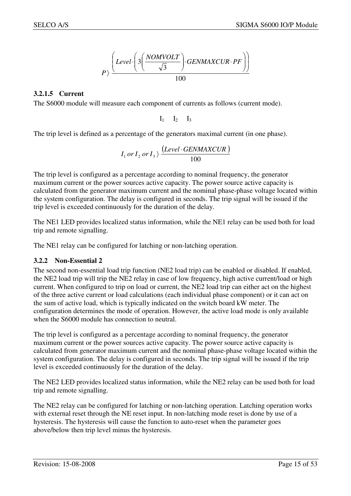$$
P\rangle \frac{\left(Level \cdot \left(3\left(\frac{NOMVOLT}{\sqrt{3}}\right) \cdot GENMAXCUR \cdot PF\right)\right)}{100}
$$

#### **3.2.1.5 Current**

The S6000 module will measure each component of currents as follows (current mode).

 $I_1$   $I_2$   $I_3$ 

The trip level is defined as a percentage of the generators maximal current (in one phase).

$$
I_1 \, or \, I_2 \, or \, I_3 \rangle \, \frac{(Level \cdot GENMAXCUR)}{100}
$$

The trip level is configured as a percentage according to nominal frequency, the generator maximum current or the power sources active capacity. The power source active capacity is calculated from the generator maximum current and the nominal phase-phase voltage located within the system configuration. The delay is configured in seconds. The trip signal will be issued if the trip level is exceeded continuously for the duration of the delay.

The NE1 LED provides localized status information, while the NE1 relay can be used both for load trip and remote signalling.

The NE1 relay can be configured for latching or non-latching operation.

#### **3.2.2 Non-Essential 2**

The second non-essential load trip function (NE2 load trip) can be enabled or disabled. If enabled, the NE2 load trip will trip the NE2 relay in case of low frequency, high active current/load or high current. When configured to trip on load or current, the NE2 load trip can either act on the highest of the three active current or load calculations (each individual phase component) or it can act on the sum of active load, which is typically indicated on the switch board kW meter. The configuration determines the mode of operation. However, the active load mode is only available when the S6000 module has connection to neutral.

The trip level is configured as a percentage according to nominal frequency, the generator maximum current or the power sources active capacity. The power source active capacity is calculated from generator maximum current and the nominal phase-phase voltage located within the system configuration. The delay is configured in seconds. The trip signal will be issued if the trip level is exceeded continuously for the duration of the delay.

The NE2 LED provides localized status information, while the NE2 relay can be used both for load trip and remote signalling.

The NE2 relay can be configured for latching or non-latching operation. Latching operation works with external reset through the NE reset input. In non-latching mode reset is done by use of a hysteresis. The hysteresis will cause the function to auto-reset when the parameter goes above/below then trip level minus the hysteresis.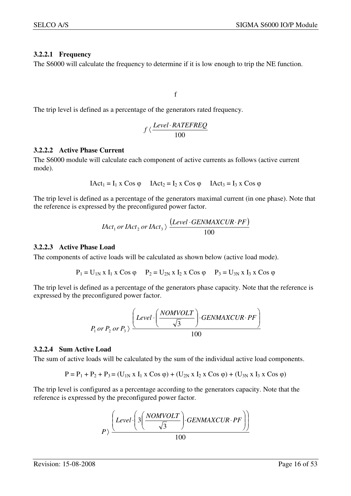#### **3.2.2.1 Frequency**

The S6000 will calculate the frequency to determine if it is low enough to trip the NE function.

f

The trip level is defined as a percentage of the generators rated frequency.

$$
f \langle \frac{Level \cdot RATEREQ}{100}
$$

#### **3.2.2.2 Active Phase Current**

The S6000 module will calculate each component of active currents as follows (active current mode).

$$
IAct_1 = I_1 \times Cos \varphi \qquad IAct_2 = I_2 \times Cos \varphi \qquad IAct_3 = I_3 \times Cos \varphi
$$

The trip level is defined as a percentage of the generators maximal current (in one phase). Note that the reference is expressed by the preconfigured power factor.

$$
Hct_1 \text{ or } Hct_2 \text{ or } Hct_3 \rangle \xrightarrow{\text{ (Level} \cdot \text{GENMAXCUR} \cdot \text{PF})}
$$

#### **3.2.2.3 Active Phase Load**

The components of active loads will be calculated as shown below (active load mode).

 $P_1 = U_{1N} x I_1 x \cos \varphi$   $P_2 = U_{2N} x I_2 x \cos \varphi$   $P_3 = U_{3N} x I_3 x \cos \varphi$ 

The trip level is defined as a percentage of the generators phase capacity. Note that the reference is expressed by the preconfigured power factor.

$$
P_1 \, or \, P_2 \, or \, P_3 \rangle \frac{\left(Level \cdot \left(\frac{NOMVOLT}{\sqrt{3}}\right) \cdot GENMAXCUR \cdot PF\right)}{100}
$$

#### **3.2.2.4 Sum Active Load**

The sum of active loads will be calculated by the sum of the individual active load components.

$$
P = P_1 + P_2 + P_3 = (U_{1N} \times I_1 \times \text{Cos } \varphi) + (U_{2N} \times I_2 \times \text{Cos } \varphi) + (U_{3N} \times I_3 \times \text{Cos } \varphi)
$$

The trip level is configured as a percentage according to the generators capacity. Note that the reference is expressed by the preconfigured power factor.

$$
P\rangle \frac{\left(Level \cdot \left(3\left(\frac{NOMVOLT}{\sqrt{3}}\right) \cdot GENMAXCUR \cdot PF\right)\right)}{100}
$$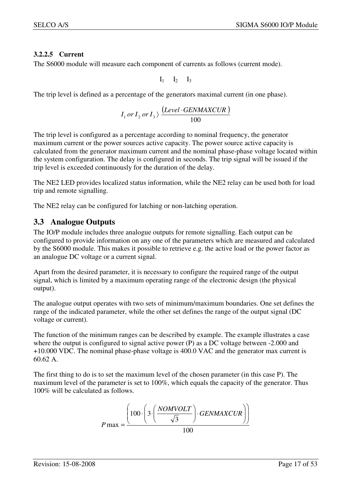#### **3.2.2.5 Current**

The S6000 module will measure each component of currents as follows (current mode).

 $I_1$   $I_2$   $I_3$ 

The trip level is defined as a percentage of the generators maximal current (in one phase).

$$
I_1 \, or \, I_2 \, or \, I_3 \rangle \, \frac{(Level \cdot GENMAXCUR)}{100}
$$

The trip level is configured as a percentage according to nominal frequency, the generator maximum current or the power sources active capacity. The power source active capacity is calculated from the generator maximum current and the nominal phase-phase voltage located within the system configuration. The delay is configured in seconds. The trip signal will be issued if the trip level is exceeded continuously for the duration of the delay.

The NE2 LED provides localized status information, while the NE2 relay can be used both for load trip and remote signalling.

The NE2 relay can be configured for latching or non-latching operation.

## **3.3 Analogue Outputs**

The IO/P module includes three analogue outputs for remote signalling. Each output can be configured to provide information on any one of the parameters which are measured and calculated by the S6000 module. This makes it possible to retrieve e.g. the active load or the power factor as an analogue DC voltage or a current signal.

Apart from the desired parameter, it is necessary to configure the required range of the output signal, which is limited by a maximum operating range of the electronic design (the physical output).

The analogue output operates with two sets of minimum/maximum boundaries. One set defines the range of the indicated parameter, while the other set defines the range of the output signal (DC voltage or current).

The function of the minimum ranges can be described by example. The example illustrates a case where the output is configured to signal active power (P) as a DC voltage between -2.000 and +10.000 VDC. The nominal phase-phase voltage is 400.0 VAC and the generator max current is 60.62 A.

The first thing to do is to set the maximum level of the chosen parameter (in this case P). The maximum level of the parameter is set to 100%, which equals the capacity of the generator. Thus 100% will be calculated as follows.

$$
P \max = \frac{\left(100 \cdot \left(3 \cdot \left(\frac{NOMVOLT}{\sqrt{3}}\right) \cdot GENMAXCUR\right)\right)}{100}
$$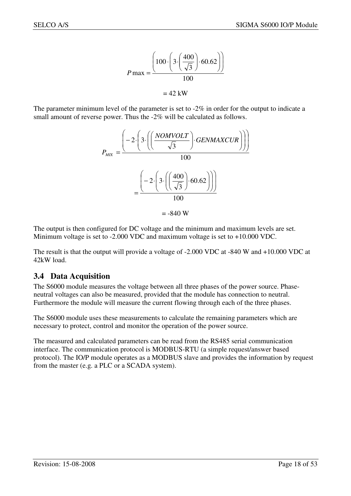$$
P \max = \frac{\left(100 \cdot \left(3 \cdot \left(\frac{400}{\sqrt{3}}\right) \cdot 60.62\right)\right)}{100}
$$

$$
= 42 \text{ kW}
$$

The parameter minimum level of the parameter is set to  $-2\%$  in order for the output to indicate a small amount of reverse power. Thus the -2% will be calculated as follows.



The output is then configured for DC voltage and the minimum and maximum levels are set. Minimum voltage is set to -2.000 VDC and maximum voltage is set to +10.000 VDC.

The result is that the output will provide a voltage of -2.000 VDC at -840 W and +10.000 VDC at 42kW load.

## **3.4 Data Acquisition**

The S6000 module measures the voltage between all three phases of the power source. Phaseneutral voltages can also be measured, provided that the module has connection to neutral. Furthermore the module will measure the current flowing through each of the three phases.

The S6000 module uses these measurements to calculate the remaining parameters which are necessary to protect, control and monitor the operation of the power source.

The measured and calculated parameters can be read from the RS485 serial communication interface. The communication protocol is MODBUS-RTU (a simple request/answer based protocol). The IO/P module operates as a MODBUS slave and provides the information by request from the master (e.g. a PLC or a SCADA system).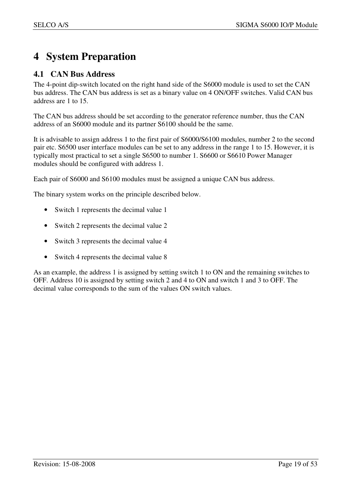## **4 System Preparation**

## **4.1 CAN Bus Address**

The 4-point dip-switch located on the right hand side of the S6000 module is used to set the CAN bus address. The CAN bus address is set as a binary value on 4 ON/OFF switches. Valid CAN bus address are 1 to 15.

The CAN bus address should be set according to the generator reference number, thus the CAN address of an S6000 module and its partner S6100 should be the same.

It is advisable to assign address 1 to the first pair of S6000/S6100 modules, number 2 to the second pair etc. S6500 user interface modules can be set to any address in the range 1 to 15. However, it is typically most practical to set a single S6500 to number 1. S6600 or S6610 Power Manager modules should be configured with address 1.

Each pair of S6000 and S6100 modules must be assigned a unique CAN bus address.

The binary system works on the principle described below.

- Switch 1 represents the decimal value 1
- Switch 2 represents the decimal value 2
- Switch 3 represents the decimal value 4
- Switch 4 represents the decimal value 8

As an example, the address 1 is assigned by setting switch 1 to ON and the remaining switches to OFF. Address 10 is assigned by setting switch 2 and 4 to ON and switch 1 and 3 to OFF. The decimal value corresponds to the sum of the values ON switch values.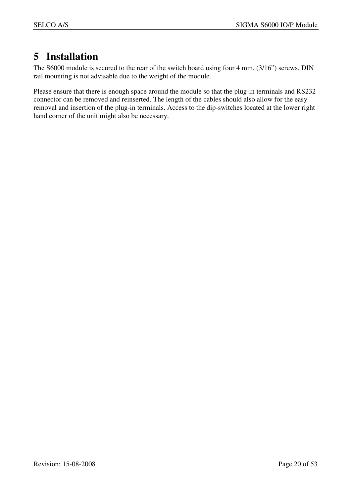## **5 Installation**

The S6000 module is secured to the rear of the switch board using four 4 mm. (3/16") screws. DIN rail mounting is not advisable due to the weight of the module.

Please ensure that there is enough space around the module so that the plug-in terminals and RS232 connector can be removed and reinserted. The length of the cables should also allow for the easy removal and insertion of the plug-in terminals. Access to the dip-switches located at the lower right hand corner of the unit might also be necessary.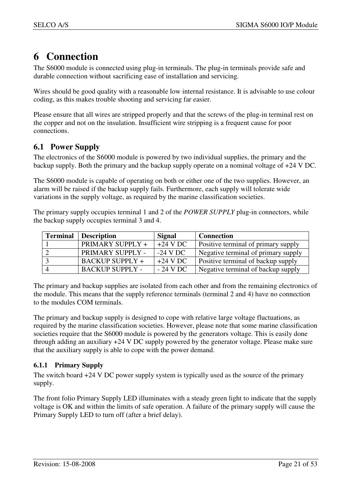## **6 Connection**

The S6000 module is connected using plug-in terminals. The plug-in terminals provide safe and durable connection without sacrificing ease of installation and servicing.

Wires should be good quality with a reasonable low internal resistance. It is advisable to use colour coding, as this makes trouble shooting and servicing far easier.

Please ensure that all wires are stripped properly and that the screws of the plug-in terminal rest on the copper and not on the insulation. Insufficient wire stripping is a frequent cause for poor connections.

## **6.1 Power Supply**

The electronics of the S6000 module is powered by two individual supplies, the primary and the backup supply. Both the primary and the backup supply operate on a nominal voltage of +24 V DC.

The S6000 module is capable of operating on both or either one of the two supplies. However, an alarm will be raised if the backup supply fails. Furthermore, each supply will tolerate wide variations in the supply voltage, as required by the marine classification societies.

The primary supply occupies terminal 1 and 2 of the *POWER SUPPLY* plug-in connectors, while the backup supply occupies terminal 3 and 4.

| <b>Terminal</b> | <b>Description</b>     | Signal     | <b>Connection</b>                          |
|-----------------|------------------------|------------|--------------------------------------------|
|                 | PRIMARY SUPPLY +       | $+24$ V DC | <b>Positive terminal of primary supply</b> |
|                 | PRIMARY SUPPLY -       | $-24$ V DC | Negative terminal of primary supply        |
|                 | <b>BACKUP SUPPLY +</b> | $+24$ V DC | Positive terminal of backup supply         |
|                 | <b>BACKUP SUPPLY -</b> | $-24$ V DC | Negative terminal of backup supply         |

The primary and backup supplies are isolated from each other and from the remaining electronics of the module. This means that the supply reference terminals (terminal 2 and 4) have no connection to the modules COM terminals.

The primary and backup supply is designed to cope with relative large voltage fluctuations, as required by the marine classification societies. However, please note that some marine classification societies require that the S6000 module is powered by the generators voltage. This is easily done through adding an auxiliary +24 V DC supply powered by the generator voltage. Please make sure that the auxiliary supply is able to cope with the power demand.

## **6.1.1 Primary Supply**

The switch board +24 V DC power supply system is typically used as the source of the primary supply.

The front folio Primary Supply LED illuminates with a steady green light to indicate that the supply voltage is OK and within the limits of safe operation. A failure of the primary supply will cause the Primary Supply LED to turn off (after a brief delay).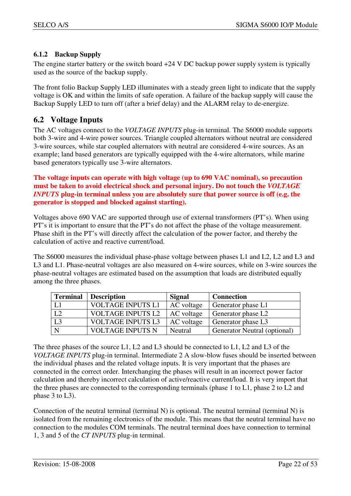## **6.1.2 Backup Supply**

The engine starter battery or the switch board  $+24$  V DC backup power supply system is typically used as the source of the backup supply.

The front folio Backup Supply LED illuminates with a steady green light to indicate that the supply voltage is OK and within the limits of safe operation. A failure of the backup supply will cause the Backup Supply LED to turn off (after a brief delay) and the ALARM relay to de-energize.

## **6.2 Voltage Inputs**

The AC voltages connect to the *VOLTAGE INPUTS* plug-in terminal. The S6000 module supports both 3-wire and 4-wire power sources. Triangle coupled alternators without neutral are considered 3-wire sources, while star coupled alternators with neutral are considered 4-wire sources. As an example; land based generators are typically equipped with the 4-wire alternators, while marine based generators typically use 3-wire alternators.

**The voltage inputs can operate with high voltage (up to 690 VAC nominal), so precaution must be taken to avoid electrical shock and personal injury. Do not touch the** *VOLTAGE INPUTS* **plug-in terminal unless you are absolutely sure that power source is off (e.g. the generator is stopped and blocked against starting).**

Voltages above 690 VAC are supported through use of external transformers (PT's). When using PT's it is important to ensure that the PT's do not affect the phase of the voltage measurement. Phase shift in the PT's will directly affect the calculation of the power factor, and thereby the calculation of active and reactive current/load.

The S6000 measures the individual phase-phase voltage between phases L1 and L2, L2 and L3 and L3 and L1. Phase-neutral voltages are also measured on 4-wire sources, while on 3-wire sources the phase-neutral voltages are estimated based on the assumption that loads are distributed equally among the three phases.

| <b>Terminal</b> | <b>Description</b>       | <b>Signal</b> | <b>Connection</b>              |
|-----------------|--------------------------|---------------|--------------------------------|
|                 | <b>VOLTAGE INPUTS L1</b> | AC voltage    | Generator phase L1             |
| L <sub>2</sub>  | <b>VOLTAGE INPUTS L2</b> | AC voltage    | Generator phase L <sub>2</sub> |
| L <sub>3</sub>  | <b>VOLTAGE INPUTS L3</b> | AC voltage    | Generator phase L3             |
| $\mathbf N$     | <b>VOLTAGE INPUTS N</b>  | Neutral       | Generator Neutral (optional)   |

The three phases of the source L1, L2 and L3 should be connected to L1, L2 and L3 of the *VOLTAGE INPUTS* plug-in terminal. Intermediate 2 A slow-blow fuses should be inserted between the individual phases and the related voltage inputs. It is very important that the phases are connected in the correct order. Interchanging the phases will result in an incorrect power factor calculation and thereby incorrect calculation of active/reactive current/load. It is very import that the three phases are connected to the corresponding terminals (phase 1 to L1, phase 2 to L2 and phase 3 to L3).

Connection of the neutral terminal (terminal N) is optional. The neutral terminal (terminal N) is isolated from the remaining electronics of the module. This means that the neutral terminal have no connection to the modules COM terminals. The neutral terminal does have connection to terminal 1, 3 and 5 of the *CT INPUTS* plug-in terminal.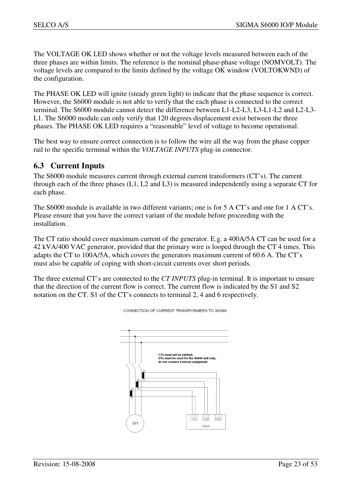The VOLTAGE OK LED shows whether or not the voltage levels measured between each of the three phases are within limits. The reference is the nominal phase-phase voltage (NOMVOLT). The voltage levels are compared to the limits defined by the voltage OK window (VOLTOKWND) of the configuration.

The PHASE OK LED will ignite (steady green light) to indicate that the phase sequence is correct. However, the S6000 module is not able to verify that the each phase is connected to the correct terminal. The S6000 module cannot detect the difference between L1-L2-L3, L3-L1-L2 and L2-L3- L1. The S6000 module can only verify that 120 degrees displacement exist between the three phases. The PHASE OK LED requires a "reasonable" level of voltage to become operational.

The best way to ensure correct connection is to follow the wire all the way from the phase copper rail to the specific terminal within the *VOLTAGE INPUTS* plug-in connector.

## **6.3 Current Inputs**

The S6000 module measures current through external current transformers (CT's). The current through each of the three phases (L1, L2 and L3) is measured independently using a separate CT for each phase.

The S6000 module is available in two different variants; one is for 5 A CT's and one for 1 A CT's. Please ensure that you have the correct variant of the module before proceeding with the installation.

The CT ratio should cover maximum current of the generator. E.g. a 400A/5A CT can be used for a 42 kVA/400 VAC generator, provided that the primary wire is looped through the CT 4 times. This adapts the CT to 100A/5A, which covers the generators maximum current of 60.6 A. The CT's must also be capable of coping with short-circuit currents over short periods.

The three external CT's are connected to the *CT INPUTS* plug-in terminal. It is important to ensure that the direction of the current flow is correct. The current flow is indicated by the S1 and S2 notation on the CT. S1 of the CT's connects to terminal 2, 4 and 6 respectively.



CONNECTION OF CURRENT TRANSFORMERS TO SIGMA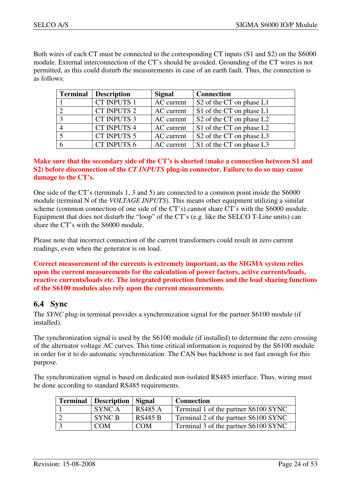Both wires of each CT must be connected to the corresponding CT inputs (S1 and S2) on the S6000 module. External interconnection of the CT's should be avoided. Grounding of the CT wires is not permitted, as this could disturb the measurements in case of an earth fault. Thus, the connection is as follows:

| <b>Terminal</b> | <b>Description</b> | <b>Signal</b> | <b>Connection</b>                                |
|-----------------|--------------------|---------------|--------------------------------------------------|
|                 | CT INPUTS 1        | AC current    | S <sub>2</sub> of the CT on phase L <sub>1</sub> |
|                 | CT INPUTS 2        | AC current    | S1 of the CT on phase L1                         |
|                 | <b>CT INPUTS 3</b> | AC current    | S <sub>2</sub> of the CT on phase L <sub>2</sub> |
|                 | CT INPUTS 4        | AC current    | S1 of the CT on phase L2                         |
|                 | <b>CT INPUTS 5</b> | AC current    | S <sub>2</sub> of the CT on phase L <sub>3</sub> |
|                 | CT INPUTS 6        | AC current    | S1 of the CT on phase L3                         |

#### **Make sure that the secondary side of the CT's is shorted (make a connection between S1 and S2) before disconnection of the** *CT INPUTS* **plug-in connector. Failure to do so may cause damage to the CT's.**

One side of the CT's (terminals 1, 3 and 5) are connected to a common point inside the S6000 module (terminal N of the *VOLTAGE INPUTS*). This means other equipment utilizing a similar scheme (common connection of one side of the CT's) cannot share CT's with the S6000 module. Equipment that does not disturb the "loop" of the CT's (e.g. like the SELCO T-Line units) can share the CT's with the S6000 module.

Please note that incorrect connection of the current transformers could result in zero current readings, even when the generator is on load.

#### **Correct measurement of the currents is extremely important, as the SIGMA system relies upon the current measurements for the calculation of power factors, active currents/loads, reactive currents/loads etc. The integrated protection functions and the load sharing functions of the S6100 modules also rely upon the current measurements.**

## **6.4 Sync**

The *SYNC* plug-in terminal provides a synchronization signal for the partner S6100 module (if installed).

The synchronization signal is used by the S6100 module (if installed) to determine the zero crossing of the alternator voltage AC curves. This time critical information is required by the S6100 module in order for it to do automatic synchronization. The CAN bus backbone is not fast enough for this purpose.

The synchronization signal is based on dedicated non-isolated RS485 interface. Thus, wiring must be done according to standard RS485 requirements.

| <b>Terminal</b>   Description   Signal |                | <b>Connection</b>                    |
|----------------------------------------|----------------|--------------------------------------|
| SYNC A                                 | <b>RS485 A</b> | Terminal 1 of the partner S6100 SYNC |
| SYNC B                                 | <b>RS485 B</b> | Terminal 2 of the partner S6100 SYNC |
| <b>COM</b>                             | <b>COM</b>     | Terminal 3 of the partner S6100 SYNC |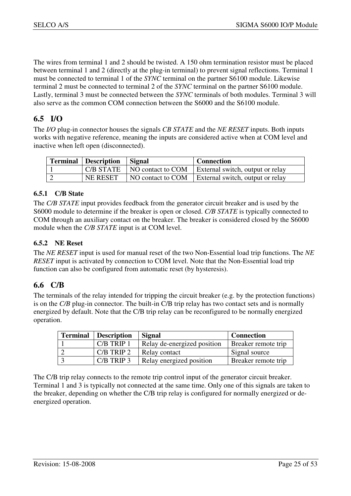The wires from terminal 1 and 2 should be twisted. A 150 ohm termination resistor must be placed between terminal 1 and 2 (directly at the plug-in terminal) to prevent signal reflections. Terminal 1 must be connected to terminal 1 of the *SYNC* terminal on the partner S6100 module. Likewise terminal 2 must be connected to terminal 2 of the *SYNC* terminal on the partner S6100 module. Lastly, terminal 3 must be connected between the *SYNC* terminals of both modules. Terminal 3 will also serve as the common COM connection between the S6000 and the S6100 module.

## **6.5 I/O**

The *I/O* plug-in connector houses the signals *CB STATE* and the *NE RESET* inputs. Both inputs works with negative reference, meaning the inputs are considered active when at COM level and inactive when left open (disconnected).

| <b>Terminal</b> Description | Signal | <b>Connection</b>                                                  |
|-----------------------------|--------|--------------------------------------------------------------------|
|                             |        | $C/B$ STATE   NO contact to COM   External switch, output or relay |
| NE RESET                    |        | NO contact to COM   External switch, output or relay               |

#### **6.5.1 C/B State**

The *C/B STATE* input provides feedback from the generator circuit breaker and is used by the S6000 module to determine if the breaker is open or closed. *C/B STATE* is typically connected to COM through an auxiliary contact on the breaker. The breaker is considered closed by the S6000 module when the *C/B STATE* input is at COM level.

#### **6.5.2 NE Reset**

The *NE RESET* input is used for manual reset of the two Non-Essential load trip functions. The *NE RESET* input is activated by connection to COM level. Note that the Non-Essential load trip function can also be configured from automatic reset (by hysteresis).

## **6.6 C/B**

The terminals of the relay intended for tripping the circuit breaker (e.g. by the protection functions) is on the *C/B* plug-in connector. The built-in C/B trip relay has two contact sets and is normally energized by default. Note that the C/B trip relay can be reconfigured to be normally energized operation.

| <b>Terminal</b> | <b>Description</b> | <b>Signal</b>               | <b>Connection</b>   |
|-----------------|--------------------|-----------------------------|---------------------|
|                 | C/B TRIP 1         | Relay de-energized position | Breaker remote trip |
|                 | $C/B$ TRIP 2       | Relay contact               | Signal source       |
|                 | $C/B$ TRIP 3       | Relay energized position    | Breaker remote trip |

The C/B trip relay connects to the remote trip control input of the generator circuit breaker. Terminal 1 and 3 is typically not connected at the same time. Only one of this signals are taken to the breaker, depending on whether the C/B trip relay is configured for normally energized or deenergized operation.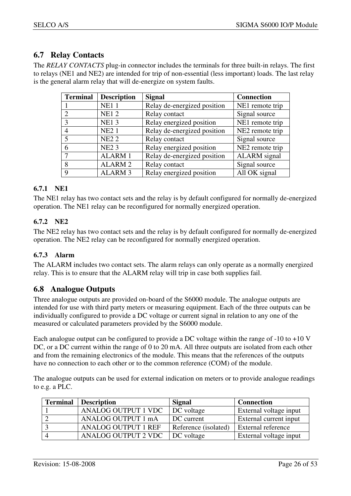## **6.7 Relay Contacts**

The *RELAY CONTACTS* plug-in connector includes the terminals for three built-in relays. The first to relays (NE1 and NE2) are intended for trip of non-essential (less important) loads. The last relay is the general alarm relay that will de-energize on system faults.

| <b>Terminal</b> | <b>Description</b> | <b>Signal</b>               | <b>Connection</b>   |
|-----------------|--------------------|-----------------------------|---------------------|
|                 | <b>NE11</b>        | Relay de-energized position | NE1 remote trip     |
|                 | <b>NE12</b>        | Relay contact               | Signal source       |
| $\mathcal{R}$   | <b>NE13</b>        | Relay energized position    | NE1 remote trip     |
|                 | <b>NE21</b>        | Relay de-energized position | NE2 remote trip     |
|                 | <b>NE22</b>        | Relay contact               | Signal source       |
|                 | <b>NE23</b>        | Relay energized position    | NE2 remote trip     |
|                 | <b>ALARM1</b>      | Relay de-energized position | <b>ALARM</b> signal |
| 8               | <b>ALARM2</b>      | Relay contact               | Signal source       |
| Q               | <b>ALARM 3</b>     | Relay energized position    | All OK signal       |

## **6.7.1 NE1**

The NE1 relay has two contact sets and the relay is by default configured for normally de-energized operation. The NE1 relay can be reconfigured for normally energized operation.

## **6.7.2 NE2**

The NE2 relay has two contact sets and the relay is by default configured for normally de-energized operation. The NE2 relay can be reconfigured for normally energized operation.

## **6.7.3 Alarm**

The ALARM includes two contact sets. The alarm relays can only operate as a normally energized relay. This is to ensure that the ALARM relay will trip in case both supplies fail.

## **6.8 Analogue Outputs**

Three analogue outputs are provided on-board of the S6000 module. The analogue outputs are intended for use with third party meters or measuring equipment. Each of the three outputs can be individually configured to provide a DC voltage or current signal in relation to any one of the measured or calculated parameters provided by the S6000 module.

Each analogue output can be configured to provide a DC voltage within the range of -10 to +10 V DC, or a DC current within the range of 0 to 20 mA. All three outputs are isolated from each other and from the remaining electronics of the module. This means that the references of the outputs have no connection to each other or to the common reference (COM) of the module.

The analogue outputs can be used for external indication on meters or to provide analogue readings to e.g. a PLC.

| <b>Terminal</b> | <b>Description</b>         | <b>Signal</b>        | <b>Connection</b>         |
|-----------------|----------------------------|----------------------|---------------------------|
|                 | <b>ANALOG OUTPUT 1 VDC</b> | DC voltage           | External voltage input    |
|                 | ANALOG OUTPUT 1 mA         | DC current           | External current input    |
|                 | <b>ANALOG OUTPUT 1 REF</b> | Reference (isolated) | <b>External reference</b> |
|                 | <b>ANALOG OUTPUT 2 VDC</b> | DC voltage           | External voltage input    |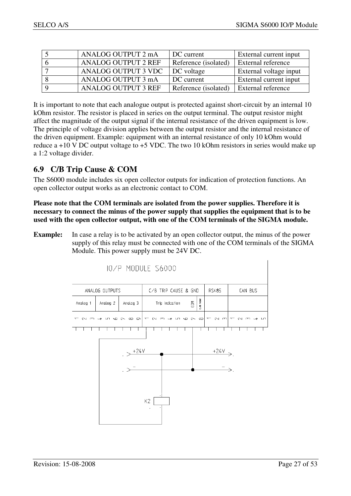| ANALOG OUTPUT 2 mA         | DC current           | External current input    |
|----------------------------|----------------------|---------------------------|
| <b>ANALOG OUTPUT 2 REF</b> | Reference (isolated) | External reference        |
| ANALOG OUTPUT 3 VDC        | DC voltage           | External voltage input    |
| ANALOG OUTPUT 3 mA         | DC current           | External current input    |
| <b>ANALOG OUTPUT 3 REF</b> | Reference (isolated) | <b>External reference</b> |

It is important to note that each analogue output is protected against short-circuit by an internal 10 kOhm resistor. The resistor is placed in series on the output terminal. The output resistor might affect the magnitude of the output signal if the internal resistance of the driven equipment is low. The principle of voltage division applies between the output resistor and the internal resistance of the driven equipment. Example: equipment with an internal resistance of only 10 kOhm would reduce a +10 V DC output voltage to +5 VDC. The two 10 kOhm resistors in series would make up a 1:2 voltage divider.

## **6.9 C/B Trip Cause & COM**

The S6000 module includes six open collector outputs for indication of protection functions. An open collector output works as an electronic contact to COM.

**Please note that the COM terminals are isolated from the power supplies. Therefore it is necessary to connect the minus of the power supply that supplies the equipment that is to be used with the open collector output, with one of the COM terminals of the SIGMA module.** 

**Example:** In case a relay is to be activated by an open collector output, the minus of the power supply of this relay must be connected with one of the COM terminals of the SIGMA Module. This power supply must be 24V DC.

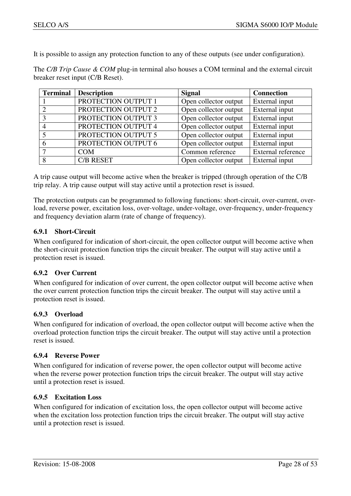It is possible to assign any protection function to any of these outputs (see under configuration).

The *C/B Trip Cause & COM* plug-in terminal also houses a COM terminal and the external circuit breaker reset input (C/B Reset).

| <b>Terminal</b> | <b>Description</b>  | <b>Signal</b>         | <b>Connection</b>  |
|-----------------|---------------------|-----------------------|--------------------|
|                 | PROTECTION OUTPUT 1 | Open collector output | External input     |
|                 | PROTECTION OUTPUT 2 | Open collector output | External input     |
|                 | PROTECTION OUTPUT 3 | Open collector output | External input     |
|                 | PROTECTION OUTPUT 4 | Open collector output | External input     |
|                 | PROTECTION OUTPUT 5 | Open collector output | External input     |
|                 | PROTECTION OUTPUT 6 | Open collector output | External input     |
|                 | <b>COM</b>          | Common reference      | External reference |
|                 | <b>C/B RESET</b>    | Open collector output | External input     |

A trip cause output will become active when the breaker is tripped (through operation of the C/B trip relay. A trip cause output will stay active until a protection reset is issued.

The protection outputs can be programmed to following functions: short-circuit, over-current, overload, reverse power, excitation loss, over-voltage, under-voltage, over-frequency, under-frequency and frequency deviation alarm (rate of change of frequency).

#### **6.9.1 Short-Circuit**

When configured for indication of short-circuit, the open collector output will become active when the short-circuit protection function trips the circuit breaker. The output will stay active until a protection reset is issued.

#### **6.9.2 Over Current**

When configured for indication of over current, the open collector output will become active when the over current protection function trips the circuit breaker. The output will stay active until a protection reset is issued.

#### **6.9.3 Overload**

When configured for indication of overload, the open collector output will become active when the overload protection function trips the circuit breaker. The output will stay active until a protection reset is issued.

#### **6.9.4 Reverse Power**

When configured for indication of reverse power, the open collector output will become active when the reverse power protection function trips the circuit breaker. The output will stay active until a protection reset is issued.

#### **6.9.5 Excitation Loss**

When configured for indication of excitation loss, the open collector output will become active when the excitation loss protection function trips the circuit breaker. The output will stay active until a protection reset is issued.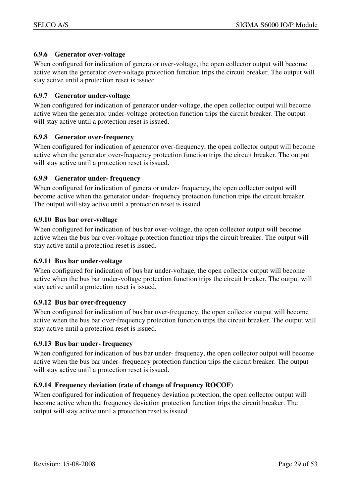#### **6.9.6 Generator over-voltage**

When configured for indication of generator over-voltage, the open collector output will become active when the generator over-voltage protection function trips the circuit breaker. The output will stay active until a protection reset is issued.

#### **6.9.7 Generator under-voltage**

When configured for indication of generator under-voltage, the open collector output will become active when the generator under-voltage protection function trips the circuit breaker. The output will stay active until a protection reset is issued.

#### **6.9.8 Generator over-frequency**

When configured for indication of generator over-frequency, the open collector output will become active when the generator over-frequency protection function trips the circuit breaker. The output will stay active until a protection reset is issued.

#### **6.9.9 Generator under- frequency**

When configured for indication of generator under- frequency, the open collector output will become active when the generator under- frequency protection function trips the circuit breaker. The output will stay active until a protection reset is issued.

#### **6.9.10 Bus bar over-voltage**

When configured for indication of bus bar over-voltage, the open collector output will become active when the bus bar over-voltage protection function trips the circuit breaker. The output will stay active until a protection reset is issued.

#### **6.9.11 Bus bar under-voltage**

When configured for indication of bus bar under-voltage, the open collector output will become active when the bus bar under-voltage protection function trips the circuit breaker. The output will stay active until a protection reset is issued.

#### **6.9.12 Bus bar over-frequency**

When configured for indication of bus bar over-frequency, the open collector output will become active when the bus bar over-frequency protection function trips the circuit breaker. The output will stay active until a protection reset is issued.

#### **6.9.13 Bus bar under- frequency**

When configured for indication of bus bar under- frequency, the open collector output will become active when the bus bar under- frequency protection function trips the circuit breaker. The output will stay active until a protection reset is issued.

#### **6.9.14 Frequency deviation (rate of change of frequency ROCOF)**

When configured for indication of frequency deviation protection, the open collector output will become active when the frequency deviation protection function trips the circuit breaker. The output will stay active until a protection reset is issued.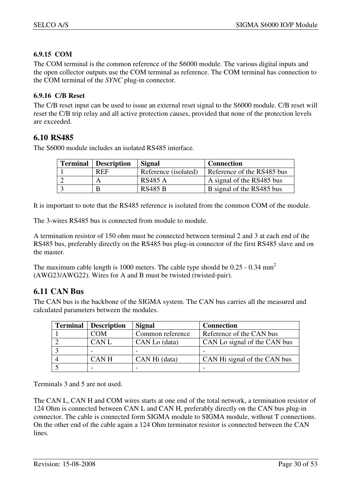## **6.9.15 COM**

The COM terminal is the common reference of the S6000 module. The various digital inputs and the open collector outputs use the COM terminal as reference. The COM terminal has connection to the COM terminal of the *SYNC* plug-in connector.

#### **6.9.16 C/B Reset**

The C/B reset input can be used to issue an external reset signal to the S6000 module. C/B reset will reset the C/B trip relay and all active protection causes, provided that none of the protection levels are exceeded.

## **6.10 RS485**

The S6000 module includes an isolated RS485 interface.

| <b>Terminal</b> | <b>Description</b> | <b>Signal</b>        | <b>Connection</b>          |
|-----------------|--------------------|----------------------|----------------------------|
|                 | <b>REF</b>         | Reference (isolated) | Reference of the RS485 bus |
|                 | A                  | <b>RS485 A</b>       | A signal of the RS485 bus  |
|                 | B                  | <b>RS485 B</b>       | B signal of the RS485 bus  |

It is important to note that the RS485 reference is isolated from the common COM of the module.

The 3-wires RS485 bus is connected from module to module.

A termination resistor of 150 ohm must be connected between terminal 2 and 3 at each end of the RS485 bus, preferably directly on the RS485 bus plug-in connector of the first RS485 slave and on the master.

The maximum cable length is 1000 meters. The cable type should be  $0.25 - 0.34$  mm<sup>2</sup> (AWG23/AWG22). Wires for A and B must be twisted (twisted-pair).

## **6.11 CAN Bus**

The CAN bus is the backbone of the SIGMA system. The CAN bus carries all the measured and calculated parameters between the modules.

| <b>Terminal</b> | <b>Description</b> | <b>Signal</b>    | <b>Connection</b>            |
|-----------------|--------------------|------------------|------------------------------|
|                 | <b>COM</b>         | Common reference | Reference of the CAN bus     |
|                 | <b>CANL</b>        | CAN Lo (data)    | CAN Lo signal of the CAN bus |
|                 |                    |                  |                              |
|                 | <b>CANH</b>        | CAN Hi (data)    | CAN Hi signal of the CAN bus |
|                 |                    |                  |                              |

Terminals 3 and 5 are not used.

The CAN L, CAN H and COM wires starts at one end of the total network, a termination resistor of 124 Ohm is connected between CAN L and CAN H, preferably directly on the CAN bus plug-in connector. The cable is connected form SIGMA module to SIGMA module, without T connections. On the other end of the cable again a 124 Ohm terminator resistor is connected between the CAN lines.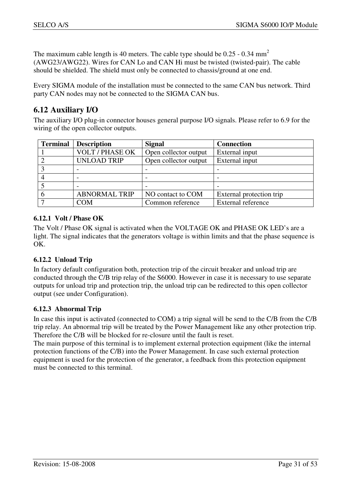The maximum cable length is 40 meters. The cable type should be  $0.25 - 0.34$  mm<sup>2</sup> (AWG23/AWG22). Wires for CAN Lo and CAN Hi must be twisted (twisted-pair). The cable should be shielded. The shield must only be connected to chassis/ground at one end.

Every SIGMA module of the installation must be connected to the same CAN bus network. Third party CAN nodes may not be connected to the SIGMA CAN bus.

## **6.12 Auxiliary I/O**

The auxiliary I/O plug-in connector houses general purpose I/O signals. Please refer to 6.9 for the wiring of the open collector outputs.

| <b>Terminal</b> | <b>Description</b>     | <b>Signal</b>         | <b>Connection</b>        |
|-----------------|------------------------|-----------------------|--------------------------|
|                 | <b>VOLT / PHASE OK</b> | Open collector output | External input           |
|                 | <b>UNLOAD TRIP</b>     | Open collector output | External input           |
|                 |                        |                       |                          |
|                 |                        |                       |                          |
|                 |                        |                       |                          |
|                 | <b>ABNORMAL TRIP</b>   | NO contact to COM     | External protection trip |
|                 | COM                    | Common reference      | External reference       |

#### **6.12.1 Volt / Phase OK**

The Volt / Phase OK signal is activated when the VOLTAGE OK and PHASE OK LED's are a light. The signal indicates that the generators voltage is within limits and that the phase sequence is OK.

#### **6.12.2 Unload Trip**

In factory default configuration both, protection trip of the circuit breaker and unload trip are conducted through the C/B trip relay of the S6000. However in case it is necessary to use separate outputs for unload trip and protection trip, the unload trip can be redirected to this open collector output (see under Configuration).

#### **6.12.3 Abnormal Trip**

In case this input is activated (connected to COM) a trip signal will be send to the C/B from the C/B trip relay. An abnormal trip will be treated by the Power Management like any other protection trip. Therefore the C/B will be blocked for re-closure until the fault is reset.

The main purpose of this terminal is to implement external protection equipment (like the internal protection functions of the C/B) into the Power Management. In case such external protection equipment is used for the protection of the generator, a feedback from this protection equipment must be connected to this terminal.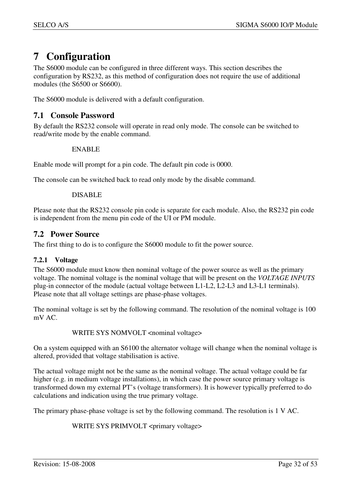## **7 Configuration**

The S6000 module can be configured in three different ways. This section describes the configuration by RS232, as this method of configuration does not require the use of additional modules (the S6500 or S6600).

The S6000 module is delivered with a default configuration.

## **7.1 Console Password**

By default the RS232 console will operate in read only mode. The console can be switched to read/write mode by the enable command.

#### ENABLE

Enable mode will prompt for a pin code. The default pin code is 0000.

The console can be switched back to read only mode by the disable command.

#### DISABLE

Please note that the RS232 console pin code is separate for each module. Also, the RS232 pin code is independent from the menu pin code of the UI or PM module.

## **7.2 Power Source**

The first thing to do is to configure the S6000 module to fit the power source.

#### **7.2.1 Voltage**

The S6000 module must know then nominal voltage of the power source as well as the primary voltage. The nominal voltage is the nominal voltage that will be present on the *VOLTAGE INPUTS* plug-in connector of the module (actual voltage between L1-L2, L2-L3 and L3-L1 terminals). Please note that all voltage settings are phase-phase voltages.

The nominal voltage is set by the following command. The resolution of the nominal voltage is 100 mV AC.

#### WRITE SYS NOMVOLT <nominal voltage>

On a system equipped with an S6100 the alternator voltage will change when the nominal voltage is altered, provided that voltage stabilisation is active.

The actual voltage might not be the same as the nominal voltage. The actual voltage could be far higher (e.g. in medium voltage installations), in which case the power source primary voltage is transformed down my external PT's (voltage transformers). It is however typically preferred to do calculations and indication using the true primary voltage.

The primary phase-phase voltage is set by the following command. The resolution is 1 V AC.

WRITE SYS PRIMVOLT <primary voltage>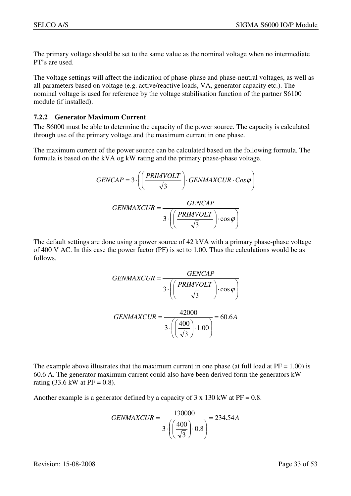The primary voltage should be set to the same value as the nominal voltage when no intermediate PT's are used.

The voltage settings will affect the indication of phase-phase and phase-neutral voltages, as well as all parameters based on voltage (e.g. active/reactive loads, VA, generator capacity etc.). The nominal voltage is used for reference by the voltage stabilisation function of the partner S6100 module (if installed).

#### **7.2.2 Generator Maximum Current**

The S6000 must be able to determine the capacity of the power source. The capacity is calculated through use of the primary voltage and the maximum current in one phase.

The maximum current of the power source can be calculated based on the following formula. The formula is based on the kVA og kW rating and the primary phase-phase voltage.

$$
GENCAP = 3 \cdot \left( \left( \frac{PRINVOLT}{\sqrt{3}} \right) \cdot GENMAXCUR \cdot Cos\varphi \right)
$$

$$
GENMAXCUR = \frac{GENCAP}{3 \cdot \left( \left( \frac{PRINVOLT}{\sqrt{3}} \right) \cdot Cos\varphi \right)}
$$

The default settings are done using a power source of 42 kVA with a primary phase-phase voltage of 400 V AC. In this case the power factor (PF) is set to 1.00. Thus the calculations would be as follows.

$$
GENMAXCUR = \frac{GENCAP}{3 \cdot \left( \left( \frac{PRIMVOLT}{\sqrt{3}} \right) \cdot \cos \varphi \right)}
$$

$$
GENMAXCUR = \frac{42000}{3 \cdot \left( \left( \frac{400}{\sqrt{3}} \right) \cdot 1.00 \right)} = 60.6A
$$

The example above illustrates that the maximum current in one phase (at full load at  $PF = 1.00$ ) is 60.6 A. The generator maximum current could also have been derived form the generators kW rating (33.6 kW at  $PF = 0.8$ ).

Another example is a generator defined by a capacity of  $3 \times 130$  kW at PF = 0.8.

$$
GENMAXCUR = \frac{130000}{3 \cdot \left( \left( \frac{400}{\sqrt{3}} \right) \cdot 0.8 \right)} = 234.54A
$$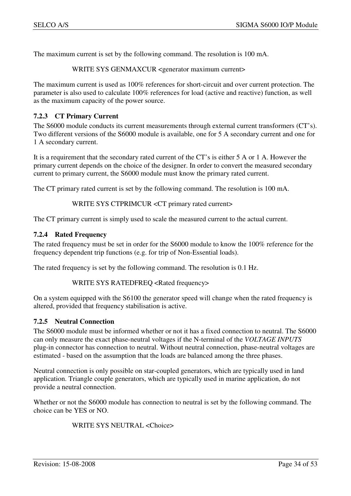The maximum current is set by the following command. The resolution is 100 mA.

WRITE SYS GENMAXCUR <generator maximum current>

The maximum current is used as 100% references for short-circuit and over current protection. The parameter is also used to calculate 100% references for load (active and reactive) function, as well as the maximum capacity of the power source.

#### **7.2.3 CT Primary Current**

The S6000 module conducts its current measurements through external current transformers (CT's). Two different versions of the S6000 module is available, one for 5 A secondary current and one for 1 A secondary current.

It is a requirement that the secondary rated current of the CT's is either 5 A or 1 A. However the primary current depends on the choice of the designer. In order to convert the measured secondary current to primary current, the S6000 module must know the primary rated current.

The CT primary rated current is set by the following command. The resolution is 100 mA.

WRITE SYS CTPRIMCUR <CT primary rated current>

The CT primary current is simply used to scale the measured current to the actual current.

#### **7.2.4 Rated Frequency**

The rated frequency must be set in order for the S6000 module to know the 100% reference for the frequency dependent trip functions (e.g. for trip of Non-Essential loads).

The rated frequency is set by the following command. The resolution is 0.1 Hz.

```
WRITE SYS RATEDFREQ <Rated frequency>
```
On a system equipped with the S6100 the generator speed will change when the rated frequency is altered, provided that frequency stabilisation is active.

#### **7.2.5 Neutral Connection**

The S6000 module must be informed whether or not it has a fixed connection to neutral. The S6000 can only measure the exact phase-neutral voltages if the N-terminal of the *VOLTAGE INPUTS* plug-in connector has connection to neutral. Without neutral connection, phase-neutral voltages are estimated - based on the assumption that the loads are balanced among the three phases.

Neutral connection is only possible on star-coupled generators, which are typically used in land application. Triangle couple generators, which are typically used in marine application, do not provide a neutral connection.

Whether or not the S6000 module has connection to neutral is set by the following command. The choice can be YES or NO.

WRITE SYS NEUTRAL <Choice>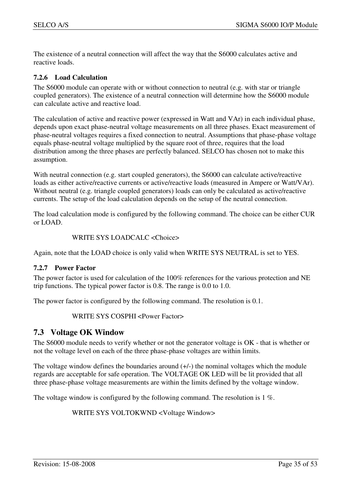The existence of a neutral connection will affect the way that the S6000 calculates active and reactive loads.

#### **7.2.6 Load Calculation**

The S6000 module can operate with or without connection to neutral (e.g. with star or triangle coupled generators). The existence of a neutral connection will determine how the S6000 module can calculate active and reactive load.

The calculation of active and reactive power (expressed in Watt and VAr) in each individual phase, depends upon exact phase-neutral voltage measurements on all three phases. Exact measurement of phase-neutral voltages requires a fixed connection to neutral. Assumptions that phase-phase voltage equals phase-neutral voltage multiplied by the square root of three, requires that the load distribution among the three phases are perfectly balanced. SELCO has chosen not to make this assumption.

With neutral connection (e.g. start coupled generators), the S6000 can calculate active/reactive loads as either active/reactive currents or active/reactive loads (measured in Ampere or Watt/VAr). Without neutral (e.g. triangle coupled generators) loads can only be calculated as active/reactive currents. The setup of the load calculation depends on the setup of the neutral connection.

The load calculation mode is configured by the following command. The choice can be either CUR or LOAD.

#### WRITE SYS LOADCALC <Choice>

Again, note that the LOAD choice is only valid when WRITE SYS NEUTRAL is set to YES.

#### **7.2.7 Power Factor**

The power factor is used for calculation of the 100% references for the various protection and NE trip functions. The typical power factor is 0.8. The range is 0.0 to 1.0.

The power factor is configured by the following command. The resolution is 0.1.

WRITE SYS COSPHI <Power Factor>

## **7.3 Voltage OK Window**

The S6000 module needs to verify whether or not the generator voltage is OK - that is whether or not the voltage level on each of the three phase-phase voltages are within limits.

The voltage window defines the boundaries around  $(+/-)$  the nominal voltages which the module regards are acceptable for safe operation. The VOLTAGE OK LED will be lit provided that all three phase-phase voltage measurements are within the limits defined by the voltage window.

The voltage window is configured by the following command. The resolution is 1 %.

WRITE SYS VOLTOKWND <Voltage Window>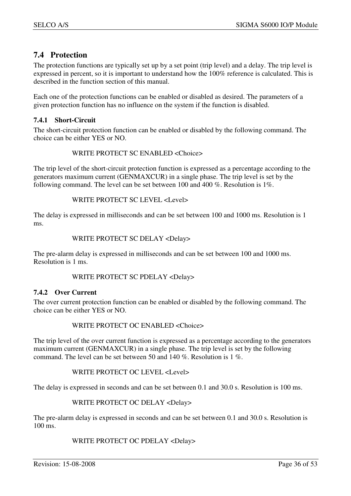## **7.4 Protection**

The protection functions are typically set up by a set point (trip level) and a delay. The trip level is expressed in percent, so it is important to understand how the 100% reference is calculated. This is described in the function section of this manual.

Each one of the protection functions can be enabled or disabled as desired. The parameters of a given protection function has no influence on the system if the function is disabled.

#### **7.4.1 Short-Circuit**

The short-circuit protection function can be enabled or disabled by the following command. The choice can be either YES or NO.

#### WRITE PROTECT SC ENABLED <Choice>

The trip level of the short-circuit protection function is expressed as a percentage according to the generators maximum current (GENMAXCUR) in a single phase. The trip level is set by the following command. The level can be set between 100 and 400 %. Resolution is 1%.

WRITE PROTECT SC LEVEL <Level>

The delay is expressed in milliseconds and can be set between 100 and 1000 ms. Resolution is 1 ms.

#### WRITE PROTECT SC DELAY <Delay>

The pre-alarm delay is expressed in milliseconds and can be set between 100 and 1000 ms. Resolution is 1 ms.

WRITE PROTECT SC PDELAY <Delay>

#### **7.4.2 Over Current**

The over current protection function can be enabled or disabled by the following command. The choice can be either YES or NO.

#### WRITE PROTECT OC ENABLED <Choice>

The trip level of the over current function is expressed as a percentage according to the generators maximum current (GENMAXCUR) in a single phase. The trip level is set by the following command. The level can be set between 50 and 140 %. Resolution is 1 %.

WRITE PROTECT OC LEVEL <Level>

The delay is expressed in seconds and can be set between 0.1 and 30.0 s. Resolution is 100 ms.

#### WRITE PROTECT OC DELAY <Delay>

The pre-alarm delay is expressed in seconds and can be set between 0.1 and 30.0 s. Resolution is 100 ms.

#### WRITE PROTECT OC PDELAY <Delay>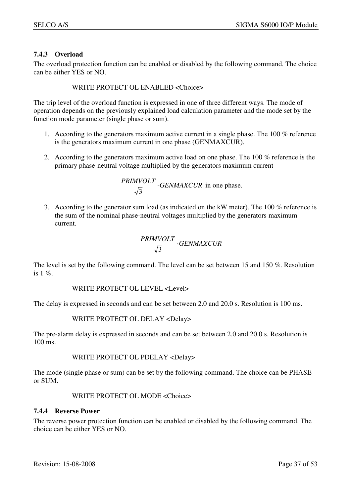#### **7.4.3 Overload**

The overload protection function can be enabled or disabled by the following command. The choice can be either YES or NO.

WRITE PROTECT OL ENABLED <Choice>

The trip level of the overload function is expressed in one of three different ways. The mode of operation depends on the previously explained load calculation parameter and the mode set by the function mode parameter (single phase or sum).

- 1. According to the generators maximum active current in a single phase. The 100 % reference is the generators maximum current in one phase (GENMAXCUR).
- 2. According to the generators maximum active load on one phase. The 100 % reference is the primary phase-neutral voltage multiplied by the generators maximum current

$$
\frac{PRINVOLT}{\sqrt{3}} \cdot GENMAXCUR \text{ in one phase.}
$$

3. According to the generator sum load (as indicated on the kW meter). The 100 % reference is the sum of the nominal phase-neutral voltages multiplied by the generators maximum current.

$$
\frac{PRINVOLT}{\sqrt{3}} \cdot GENMAXCUR
$$

The level is set by the following command. The level can be set between 15 and 150 %. Resolution is  $1 \%$ .

#### WRITE PROTECT OL LEVEL <Level>

The delay is expressed in seconds and can be set between 2.0 and 20.0 s. Resolution is 100 ms.

#### WRITE PROTECT OL DELAY <Delay>

The pre-alarm delay is expressed in seconds and can be set between 2.0 and 20.0 s. Resolution is 100 ms.

#### WRITE PROTECT OL PDELAY <Delay>

The mode (single phase or sum) can be set by the following command. The choice can be PHASE or SUM.

#### WRITE PROTECT OL MODE <Choice>

#### **7.4.4 Reverse Power**

The reverse power protection function can be enabled or disabled by the following command. The choice can be either YES or NO.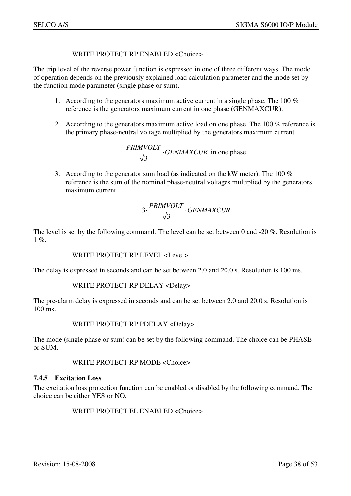#### WRITE PROTECT RP ENABLED <Choice>

The trip level of the reverse power function is expressed in one of three different ways. The mode of operation depends on the previously explained load calculation parameter and the mode set by the function mode parameter (single phase or sum).

- 1. According to the generators maximum active current in a single phase. The 100 % reference is the generators maximum current in one phase (GENMAXCUR).
- 2. According to the generators maximum active load on one phase. The 100 % reference is the primary phase-neutral voltage multiplied by the generators maximum current

$$
\frac{PRINVOLT}{\sqrt{3}} \cdot GENMAXCUR
$$
 in one phase.

3. According to the generator sum load (as indicated on the kW meter). The 100 % reference is the sum of the nominal phase-neutral voltages multiplied by the generators maximum current.

$$
3 \cdot \frac{PRIMVOLT}{\sqrt{3}} \cdot GENMAXCUR
$$

The level is set by the following command. The level can be set between 0 and -20 %. Resolution is  $1 \%$ .

#### WRITE PROTECT RP LEVEL <Level>

The delay is expressed in seconds and can be set between 2.0 and 20.0 s. Resolution is 100 ms.

#### WRITE PROTECT RP DELAY <Delay>

The pre-alarm delay is expressed in seconds and can be set between 2.0 and 20.0 s. Resolution is 100 ms.

#### WRITE PROTECT RP PDELAY <Delay>

The mode (single phase or sum) can be set by the following command. The choice can be PHASE or SUM.

WRITE PROTECT RP MODE <Choice>

#### **7.4.5 Excitation Loss**

The excitation loss protection function can be enabled or disabled by the following command. The choice can be either YES or NO.

WRITE PROTECT EL ENABLED <Choice>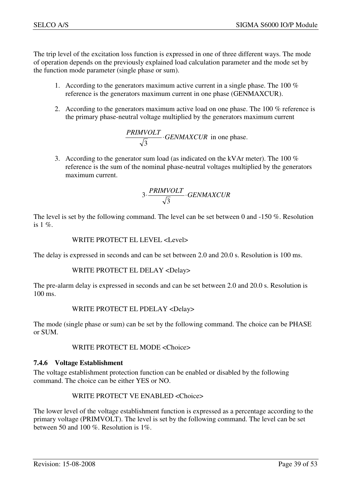The trip level of the excitation loss function is expressed in one of three different ways. The mode of operation depends on the previously explained load calculation parameter and the mode set by the function mode parameter (single phase or sum).

- 1. According to the generators maximum active current in a single phase. The 100 % reference is the generators maximum current in one phase (GENMAXCUR).
- 2. According to the generators maximum active load on one phase. The 100 % reference is the primary phase-neutral voltage multiplied by the generators maximum current

$$
\frac{PRINVOLT}{\sqrt{3}} \cdot GENMAXCUR \text{ in one phase.}
$$

3. According to the generator sum load (as indicated on the kVAr meter). The 100 % reference is the sum of the nominal phase-neutral voltages multiplied by the generators maximum current.

$$
3 \cdot \frac{PRINVOLT}{\sqrt{3}} \cdot GENMAXCUR
$$

The level is set by the following command. The level can be set between 0 and -150 %. Resolution is  $1 \%$ .

#### WRITE PROTECT EL LEVEL <Level>

The delay is expressed in seconds and can be set between 2.0 and 20.0 s. Resolution is 100 ms.

WRITE PROTECT EL DELAY <Delay>

The pre-alarm delay is expressed in seconds and can be set between 2.0 and 20.0 s. Resolution is 100 ms.

#### WRITE PROTECT EL PDELAY <Delay>

The mode (single phase or sum) can be set by the following command. The choice can be PHASE or SUM.

#### WRITE PROTECT EL MODE <Choice>

#### **7.4.6 Voltage Establishment**

The voltage establishment protection function can be enabled or disabled by the following command. The choice can be either YES or NO.

#### WRITE PROTECT VE ENABLED <Choice>

The lower level of the voltage establishment function is expressed as a percentage according to the primary voltage (PRIMVOLT). The level is set by the following command. The level can be set between 50 and 100 %. Resolution is 1%.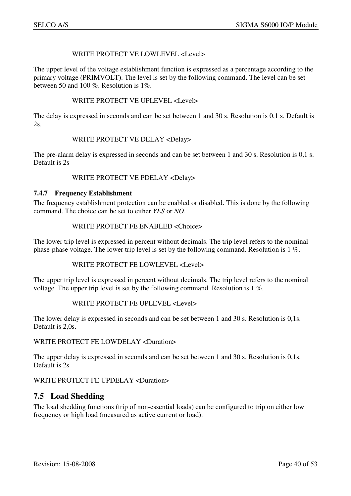#### WRITE PROTECT VE LOWLEVEL <Level>

The upper level of the voltage establishment function is expressed as a percentage according to the primary voltage (PRIMVOLT). The level is set by the following command. The level can be set between 50 and 100 %. Resolution is 1%.

#### WRITE PROTECT VE UPLEVEL <Level>

The delay is expressed in seconds and can be set between 1 and 30 s. Resolution is 0,1 s. Default is 2s.

#### WRITE PROTECT VE DELAY <Delay>

The pre-alarm delay is expressed in seconds and can be set between 1 and 30 s. Resolution is 0,1 s. Default is 2s

#### WRITE PROTECT VE PDELAY <Delay>

#### **7.4.7 Frequency Establishment**

The frequency establishment protection can be enabled or disabled. This is done by the following command. The choice can be set to either *YES* or *NO*.

#### WRITE PROTECT FE ENABLED <Choice>

The lower trip level is expressed in percent without decimals. The trip level refers to the nominal phase-phase voltage. The lower trip level is set by the following command. Resolution is 1 %.

#### WRITE PROTECT FE LOWLEVEL <Level>

The upper trip level is expressed in percent without decimals. The trip level refers to the nominal voltage. The upper trip level is set by the following command. Resolution is 1 %.

#### WRITE PROTECT FE UPLEVEL <Level>

The lower delay is expressed in seconds and can be set between 1 and 30 s. Resolution is 0,1s. Default is 2,0s.

#### WRITE PROTECT FE LOWDELAY <Duration>

The upper delay is expressed in seconds and can be set between 1 and 30 s. Resolution is 0,1s. Default is 2s

#### WRITE PROTECT FE UPDELAY <Duration>

## **7.5 Load Shedding**

The load shedding functions (trip of non-essential loads) can be configured to trip on either low frequency or high load (measured as active current or load).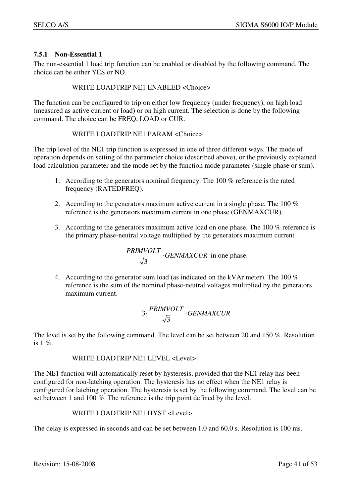#### **7.5.1 Non-Essential 1**

The non-essential 1 load trip function can be enabled or disabled by the following command. The choice can be either YES or NO.

#### WRITE LOADTRIP NE1 ENABLED <Choice>

The function can be configured to trip on either low frequency (under frequency), on high load (measured as active current or load) or on high current. The selection is done by the following command. The choice can be FREQ, LOAD or CUR.

#### WRITE LOADTRIP NE1 PARAM <Choice>

The trip level of the NE1 trip function is expressed in one of three different ways. The mode of operation depends on setting of the parameter choice (described above), or the previously explained load calculation parameter and the mode set by the function mode parameter (single phase or sum).

- 1. According to the generators nominal frequency. The 100 % reference is the rated frequency (RATEDFREQ).
- 2. According to the generators maximum active current in a single phase. The 100 % reference is the generators maximum current in one phase (GENMAXCUR).
- 3. According to the generators maximum active load on one phase. The 100 % reference is the primary phase-neutral voltage multiplied by the generators maximum current

$$
\frac{PRINVOLT}{\sqrt{3}} \cdot GENMAXCUR \text{ in one phase.}
$$

4. According to the generator sum load (as indicated on the kVAr meter). The 100 % reference is the sum of the nominal phase-neutral voltages multiplied by the generators maximum current.

$$
3 \cdot \frac{PRIMVOLT}{\sqrt{3}} \cdot GENMAXCUR
$$

The level is set by the following command. The level can be set between 20 and 150 %. Resolution is  $1 \%$ .

#### WRITE LOADTRIP NE1 LEVEL <Level>

The NE1 function will automatically reset by hysteresis, provided that the NE1 relay has been configured for non-latching operation. The hysteresis has no effect when the NE1 relay is configured for latching operation. The hysteresis is set by the following command. The level can be set between 1 and 100 %. The reference is the trip point defined by the level.

#### WRITE LOADTRIP NE1 HYST <Level>

The delay is expressed in seconds and can be set between 1.0 and 60.0 s. Resolution is 100 ms.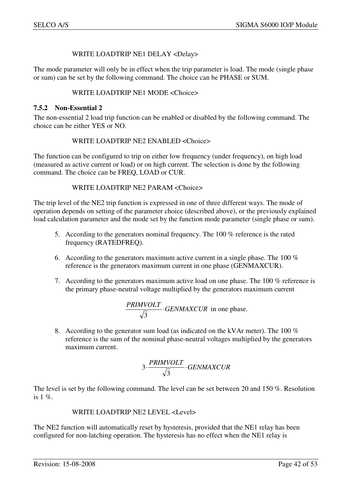#### WRITE LOADTRIP NE1 DELAY <Delay>

The mode parameter will only be in effect when the trip parameter is load. The mode (single phase or sum) can be set by the following command. The choice can be PHASE or SUM.

#### WRITE LOADTRIP NE1 MODE <Choice>

#### **7.5.2 Non-Essential 2**

The non-essential 2 load trip function can be enabled or disabled by the following command. The choice can be either YES or NO.

#### WRITE LOADTRIP NE2 ENABLED <Choice>

The function can be configured to trip on either low frequency (under frequency), on high load (measured as active current or load) or on high current. The selection is done by the following command. The choice can be FREQ, LOAD or CUR.

#### WRITE LOADTRIP NE2 PARAM <Choice>

The trip level of the NE2 trip function is expressed in one of three different ways. The mode of operation depends on setting of the parameter choice (described above), or the previously explained load calculation parameter and the mode set by the function mode parameter (single phase or sum).

- 5. According to the generators nominal frequency. The 100 % reference is the rated frequency (RATEDFREQ).
- 6. According to the generators maximum active current in a single phase. The 100 % reference is the generators maximum current in one phase (GENMAXCUR).
- 7. According to the generators maximum active load on one phase. The 100 % reference is the primary phase-neutral voltage multiplied by the generators maximum current

$$
\frac{PRINVOLT}{\sqrt{3}} \cdot GENMAXCUR
$$
 in one phase.

8. According to the generator sum load (as indicated on the kVAr meter). The 100 % reference is the sum of the nominal phase-neutral voltages multiplied by the generators maximum current.

$$
3 \cdot \frac{PRIMVOLT}{\sqrt{3}} \cdot GENMAXCUR
$$

The level is set by the following command. The level can be set between 20 and 150 %. Resolution is  $1\%$ .

WRITE LOADTRIP NE2 LEVEL <Level>

The NE2 function will automatically reset by hysteresis, provided that the NE1 relay has been configured for non-latching operation. The hysteresis has no effect when the NE1 relay is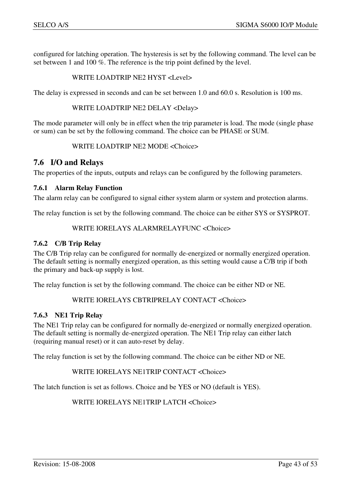configured for latching operation. The hysteresis is set by the following command. The level can be set between 1 and 100 %. The reference is the trip point defined by the level.

#### WRITE LOADTRIP NE2 HYST <Level>

The delay is expressed in seconds and can be set between 1.0 and 60.0 s. Resolution is 100 ms.

WRITE LOADTRIP NE2 DELAY <Delay>

The mode parameter will only be in effect when the trip parameter is load. The mode (single phase or sum) can be set by the following command. The choice can be PHASE or SUM.

WRITE LOADTRIP NE2 MODE <Choice>

## **7.6 I/O and Relays**

The properties of the inputs, outputs and relays can be configured by the following parameters.

#### **7.6.1 Alarm Relay Function**

The alarm relay can be configured to signal either system alarm or system and protection alarms.

The relay function is set by the following command. The choice can be either SYS or SYSPROT.

#### WRITE IORELAYS ALARMRELAYFUNC <Choice>

#### **7.6.2 C/B Trip Relay**

The C/B Trip relay can be configured for normally de-energized or normally energized operation. The default setting is normally energized operation, as this setting would cause a C/B trip if both the primary and back-up supply is lost.

The relay function is set by the following command. The choice can be either ND or NE.

#### WRITE IORELAYS CBTRIPRELAY CONTACT <Choice>

#### **7.6.3 NE1 Trip Relay**

The NE1 Trip relay can be configured for normally de-energized or normally energized operation. The default setting is normally de-energized operation. The NE1 Trip relay can either latch (requiring manual reset) or it can auto-reset by delay.

The relay function is set by the following command. The choice can be either ND or NE.

#### WRITE IORELAYS NE1TRIP CONTACT <Choice>

The latch function is set as follows. Choice and be YES or NO (default is YES).

WRITE IORELAYS NE1TRIP LATCH <Choice>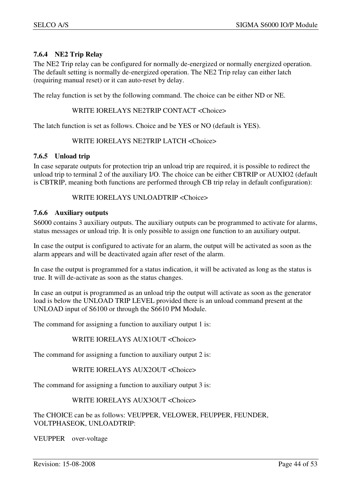#### **7.6.4 NE2 Trip Relay**

The NE2 Trip relay can be configured for normally de-energized or normally energized operation. The default setting is normally de-energized operation. The NE2 Trip relay can either latch (requiring manual reset) or it can auto-reset by delay.

The relay function is set by the following command. The choice can be either ND or NE.

#### WRITE IORELAYS NE2TRIP CONTACT <Choice>

The latch function is set as follows. Choice and be YES or NO (default is YES).

#### WRITE IORELAYS NE2TRIP LATCH <Choice>

#### **7.6.5 Unload trip**

In case separate outputs for protection trip an unload trip are required, it is possible to redirect the unload trip to terminal 2 of the auxiliary I/O. The choice can be either CBTRIP or AUXIO2 (default is CBTRIP, meaning both functions are performed through CB trip relay in default configuration):

#### WRITE IORELAYS UNLOADTRIP <Choice>

#### **7.6.6 Auxiliary outputs**

S6000 contains 3 auxiliary outputs. The auxiliary outputs can be programmed to activate for alarms, status messages or unload trip. It is only possible to assign one function to an auxiliary output.

In case the output is configured to activate for an alarm, the output will be activated as soon as the alarm appears and will be deactivated again after reset of the alarm.

In case the output is programmed for a status indication, it will be activated as long as the status is true. It will de-activate as soon as the status changes.

In case an output is programmed as an unload trip the output will activate as soon as the generator load is below the UNLOAD TRIP LEVEL provided there is an unload command present at the UNLOAD input of S6100 or through the S6610 PM Module.

The command for assigning a function to auxiliary output 1 is:

#### WRITE IORELAYS AUX1OUT <Choice>

The command for assigning a function to auxiliary output 2 is:

#### WRITE IORELAYS AUX2OUT <Choice>

The command for assigning a function to auxiliary output 3 is:

#### WRITE IORELAYS AUX3OUT <Choice>

The CHOICE can be as follows: VEUPPER, VELOWER, FEUPPER, FEUNDER, VOLTPHASEOK, UNLOADTRIP:

VEUPPER over-voltage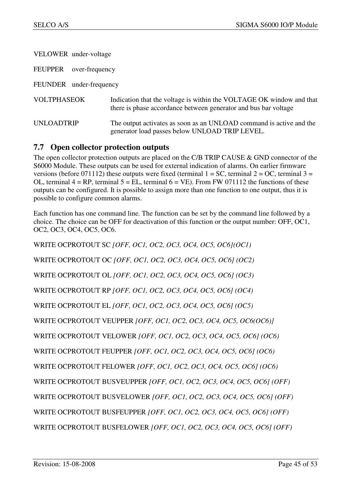| VELOWER under-voltage            |                                                                                                                                         |
|----------------------------------|-----------------------------------------------------------------------------------------------------------------------------------------|
| <b>FEUPPER</b><br>over-frequency |                                                                                                                                         |
| FEUNDER under-frequency          |                                                                                                                                         |
| <b>VOLTPHASEOK</b>               | Indication that the voltage is within the VOLTAGE OK window and that<br>there is phase accordance between generator and bus bar voltage |
| UNLOADTRIP                       | The output activates as soon as an UNLOAD command is active and the<br>generator load passes below UNLOAD TRIP LEVEL.                   |

## **7.7 Open collector protection outputs**

The open collector protection outputs are placed on the C/B TRIP CAUSE & GND connector of the S6000 Module. These outputs can be used for external indication of alarms. On earlier firmware versions (before 071112) these outputs were fixed (terminal  $1 = SC$ , terminal  $2 = OC$ , terminal  $3 =$ OL, terminal  $4 = RP$ , terminal  $5 = EL$ , terminal  $6 = VE$ ). From FW 071112 the functions of these outputs can be configured. It is possible to assign more than one function to one output, thus it is possible to configure common alarms.

Each function has one command line. The function can be set by the command line followed by a choice. The choice can be OFF for deactivation of this function or the output number: OFF, OC1, OC2, OC3, OC4, OC5, OC6.

WRITE OCPROTOUT SC *[OFF, OC1, OC2, OC3, OC4, OC5, OC6](OC1)*  WRITE OCPROTOUT OC *[OFF, OC1, OC2, OC3, OC4, OC5, OC6] (OC2)* WRITE OCPROTOUT OL *[OFF, OC1, OC2, OC3, OC4, OC5, OC6] (OC3)*  WRITE OCPROTOUT RP *[OFF, OC1, OC2, OC3, OC4, OC5, OC6] (OC4)*  WRITE OCPROTOUT EL *[OFF, OC1, OC2, OC3, OC4, OC5, OC6] (OC5)* WRITE OCPROTOUT VEUPPER *[OFF, OC1, OC2, OC3, OC4, OC5, OC6(OC6)]* WRITE OCPROTOUT VELOWER *[OFF, OC1, OC2, OC3, OC4, OC5, OC6] (OC6)* WRITE OCPROTOUT FEUPPER *[OFF, OC1, OC2, OC3, OC4, OC5, OC6] (OC6)* WRITE OCPROTOUT FELOWER *[OFF, OC1, OC2, OC3, OC4, OC5, OC6] (OC6)* WRITE OCPROTOUT BUSVEUPPER *[OFF, OC1, OC2, OC3, OC4, OC5, OC6] (OFF)* WRITE OCPROTOUT BUSVELOWER *[OFF, OC1, OC2, OC3, OC4, OC5, OC6] (OFF)* WRITE OCPROTOUT BUSFEUPPER *[OFF, OC1, OC2, OC3, OC4, OC5, OC6] (OFF)* WRITE OCPROTOUT BUSFELOWER *[OFF, OC1, OC2, OC3, OC4, OC5, OC6] (OFF)*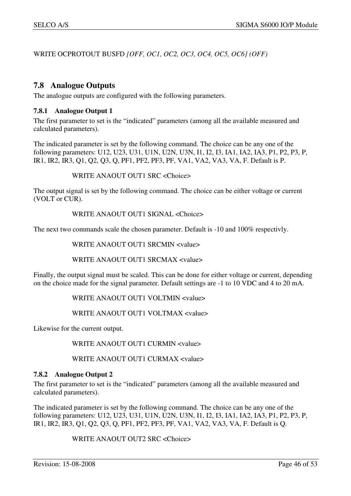WRITE OCPROTOUT BUSFD *[OFF, OC1, OC2, OC3, OC4, OC5, OC6] (OFF)* 

## **7.8 Analogue Outputs**

The analogue outputs are configured with the following parameters.

#### **7.8.1 Analogue Output 1**

The first parameter to set is the "indicated" parameters (among all the available measured and calculated parameters).

The indicated parameter is set by the following command. The choice can be any one of the following parameters: U12, U23, U31, U1N, U2N, U3N, I1, I2, I3, IA1, IA2, IA3, P1, P2, P3, P, IR1, IR2, IR3, Q1, Q2, Q3, Q, PF1, PF2, PF3, PF, VA1, VA2, VA3, VA, F. Default is P.

WRITE ANAOUT OUT1 SRC <Choice>

The output signal is set by the following command. The choice can be either voltage or current (VOLT or CUR).

WRITE ANAOUT OUT1 SIGNAL <Choice>

The next two commands scale the chosen parameter. Default is -10 and 100% respectivly.

WRITE ANAOUT OUT1 SRCMIN <value>

WRITE ANAOUT OUT1 SRCMAX <value>

Finally, the output signal must be scaled. This can be done for either voltage or current, depending on the choice made for the signal parameter. Default settings are -1 to 10 VDC and 4 to 20 mA.

WRITE ANAOUT OUT1 VOLTMIN <value>

WRITE ANAOUT OUT1 VOLTMAX <value>

Likewise for the current output.

WRITE ANAOUT OUT1 CURMIN <value>

WRITE ANAOUT OUT1 CURMAX <value>

#### **7.8.2 Analogue Output 2**

The first parameter to set is the "indicated" parameters (among all the available measured and calculated parameters).

The indicated parameter is set by the following command. The choice can be any one of the following parameters: U12, U23, U31, U1N, U2N, U3N, I1, I2, I3, IA1, IA2, IA3, P1, P2, P3, P, IR1, IR2, IR3, Q1, Q2, Q3, Q, PF1, PF2, PF3, PF, VA1, VA2, VA3, VA, F. Default is Q.

WRITE ANAOUT OUT2 SRC <Choice>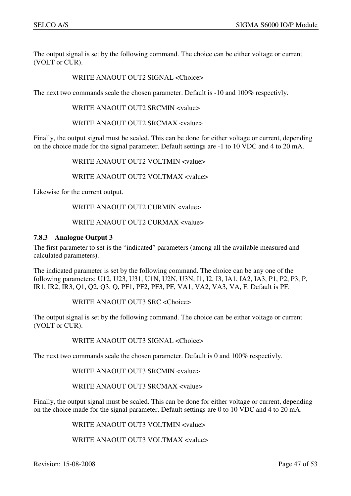The output signal is set by the following command. The choice can be either voltage or current (VOLT or CUR).

#### WRITE ANAOUT OUT2 SIGNAL <Choice>

The next two commands scale the chosen parameter. Default is -10 and 100% respectivly.

WRITE ANAOUT OUT2 SRCMIN <value>

WRITE ANAOUT OUT2 SRCMAX <value>

Finally, the output signal must be scaled. This can be done for either voltage or current, depending on the choice made for the signal parameter. Default settings are -1 to 10 VDC and 4 to 20 mA.

WRITE ANAOUT OUT2 VOLTMIN <value>

WRITE ANAOUT OUT2 VOLTMAX <value>

Likewise for the current output.

#### WRITE ANAOUT OUT2 CURMIN <value>

#### WRITE ANAOUT OUT2 CURMAX <value>

#### **7.8.3 Analogue Output 3**

The first parameter to set is the "indicated" parameters (among all the available measured and calculated parameters).

The indicated parameter is set by the following command. The choice can be any one of the following parameters: U12, U23, U31, U1N, U2N, U3N, I1, I2, I3, IA1, IA2, IA3, P1, P2, P3, P, IR1, IR2, IR3, Q1, Q2, Q3, Q, PF1, PF2, PF3, PF, VA1, VA2, VA3, VA, F. Default is PF.

WRITE ANAOUT OUT3 SRC <Choice>

The output signal is set by the following command. The choice can be either voltage or current (VOLT or CUR).

#### WRITE ANAOUT OUT3 SIGNAL <Choice>

The next two commands scale the chosen parameter. Default is 0 and 100% respectivly.

WRITE ANAOUT OUT3 SRCMIN <value>

WRITE ANAOUT OUT3 SRCMAX <value>

Finally, the output signal must be scaled. This can be done for either voltage or current, depending on the choice made for the signal parameter. Default settings are 0 to 10 VDC and 4 to 20 mA.

WRITE ANAOUT OUT3 VOLTMIN <value>

WRITE ANAOUT OUT3 VOLTMAX <value>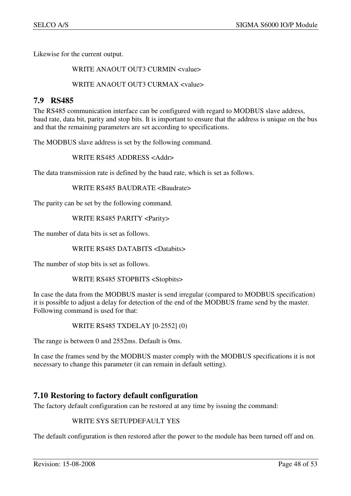Likewise for the current output.

WRITE ANAOUT OUT3 CURMIN <value>

#### WRITE ANAOUT OUT3 CURMAX <value>

## **7.9 RS485**

The RS485 communication interface can be configured with regard to MODBUS slave address, baud rate, data bit, parity and stop bits. It is important to ensure that the address is unique on the bus and that the remaining parameters are set according to specifications.

The MODBUS slave address is set by the following command.

WRITE RS485 ADDRESS <Addr>

The data transmission rate is defined by the baud rate, which is set as follows.

WRITE RS485 BAUDRATE <Baudrate>

The parity can be set by the following command.

WRITE RS485 PARITY <Parity>

The number of data bits is set as follows.

WRITE RS485 DATABITS <Databits>

The number of stop bits is set as follows.

WRITE RS485 STOPBITS <Stopbits>

In case the data from the MODBUS master is send irregular (compared to MODBUS specification) it is possible to adjust a delay for detection of the end of the MODBUS frame send by the master. Following command is used for that:

WRITE RS485 TXDELAY [0-2552] (0)

The range is between 0 and 2552ms. Default is 0ms.

In case the frames send by the MODBUS master comply with the MODBUS specifications it is not necessary to change this parameter (it can remain in default setting).

## **7.10 Restoring to factory default configuration**

The factory default configuration can be restored at any time by issuing the command:

#### WRITE SYS SETUPDEFAULT YES

The default configuration is then restored after the power to the module has been turned off and on.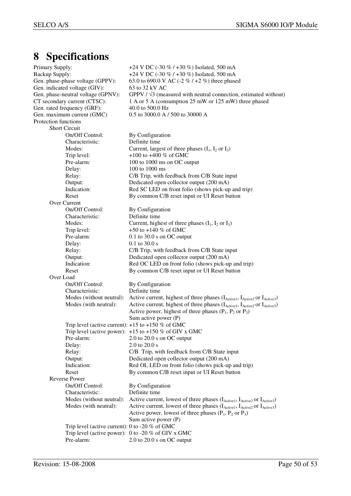## **8 Specifications**

| Primary Supply:                                       | +24 V DC (-30 % / +30 %) Isolated, 500 mA                                                                                                                                                  |
|-------------------------------------------------------|--------------------------------------------------------------------------------------------------------------------------------------------------------------------------------------------|
| <b>Backup Supply:</b>                                 | +24 V DC (-30 % / +30 %) Isolated, 500 mA                                                                                                                                                  |
| Gen. phase-phase voltage (GPPV):                      | 63.0 to 690.0 V AC (-2 % / +2 %) three phased                                                                                                                                              |
| Gen. indicated voltage (GIV):                         | 63 to 32 kV AC                                                                                                                                                                             |
| Gen. phase-neutral voltage (GPNV):                    | GPPV $\frac{1}{3}$ (measured with neutral connection, estimated without)                                                                                                                   |
| CT secondary current (CTSC):                          | 1 A or 5 A (consumption 25 mW or 125 mW) three phased                                                                                                                                      |
| Gen. rated frequency (GRF):                           | 40.0 to 500.0 Hz                                                                                                                                                                           |
| Gen. maximum current (GMC)                            | 0.5 to 3000.0 A / 500 to 30000 A                                                                                                                                                           |
| Protection functions                                  |                                                                                                                                                                                            |
| <b>Short Circuit</b>                                  |                                                                                                                                                                                            |
| On/Off Control:                                       | By Configuration                                                                                                                                                                           |
| Characteristic:                                       | Definite time                                                                                                                                                                              |
| Modes:                                                | Current, largest of three phases $(I_1, I_2 \text{ or } I_3)$                                                                                                                              |
| Trip level:                                           | +100 to +400 % of GMC                                                                                                                                                                      |
| Pre-alarm:                                            | 100 to 1000 ms on OC output                                                                                                                                                                |
| Delay:                                                | 100 to 1000 ms                                                                                                                                                                             |
| Relay:                                                | C/B Trip, with feedback from C/B State input                                                                                                                                               |
| Output:                                               | Dedicated open collector output (200 mA)                                                                                                                                                   |
| Indication:                                           | Red SC LED on front folio (shows pick-up and trip)                                                                                                                                         |
| Reset                                                 | By common C/B reset input or UI Reset button                                                                                                                                               |
| Over Current                                          |                                                                                                                                                                                            |
| On/Off Control:                                       | By Configuration                                                                                                                                                                           |
| Characteristic:                                       | Definite time                                                                                                                                                                              |
| Modes:                                                | Current, highest of three phases $(I_1, I_2 \text{ or } I_3)$                                                                                                                              |
| Trip level:                                           | +50 to +140 % of GMC                                                                                                                                                                       |
| Pre-alarm:                                            | $0.1$ to 30.0 s on OC output                                                                                                                                                               |
| Delay:                                                | $0.1$ to 30.0 s                                                                                                                                                                            |
| Relay:                                                | C/B Trip, with feedback from C/B State input                                                                                                                                               |
| Output:                                               | Dedicated open collector output (200 mA)                                                                                                                                                   |
| Indication:                                           | Red OC LED on front folio (shows pick-up and trip)                                                                                                                                         |
| Reset                                                 | By common C/B reset input or UI Reset button                                                                                                                                               |
| Over Load                                             |                                                                                                                                                                                            |
| On/Off Control:                                       | By Configuration                                                                                                                                                                           |
| Characteristic:                                       | Definite time                                                                                                                                                                              |
| Modes (without neutral):<br>Modes (with neutral):     | Active current, highest of three phases (I <sub>Active1</sub> , I <sub>Active2</sub> or I <sub>Active3</sub> )<br>Active current, highest of three phases (IActive1, IActive2 or IActive3) |
|                                                       | Active power, highest of three phases $(P_1, P_2 \text{ or } P_3)$                                                                                                                         |
|                                                       | Sum active power (P)                                                                                                                                                                       |
| Trip level (active current): $+15$ to $+150$ % of GMC |                                                                                                                                                                                            |
|                                                       | Trip level (active power): $+15$ to $+150$ % of GIV x GMC                                                                                                                                  |
| Pre-alarm:                                            | 2.0 to $20.0$ s on OC output                                                                                                                                                               |
| Delay:                                                | 2.0 to 20.0 s                                                                                                                                                                              |
| Relay:                                                | C/B Trip, with feedback from C/B State input                                                                                                                                               |
| Output:                                               | Dedicated open collector output (200 mA)                                                                                                                                                   |
| Indication:                                           | Red OL LED on front folio (shows pick-up and trip)                                                                                                                                         |
| Reset                                                 | By common C/B reset input or UI Reset button                                                                                                                                               |
| <b>Reverse Power</b>                                  |                                                                                                                                                                                            |
| On/Off Control:                                       | By Configuration                                                                                                                                                                           |
| Characteristic:                                       | Definite time                                                                                                                                                                              |
| Modes (without neutral):                              | Active current, lowest of three phases (IActive1, IActive2 or IActive3)                                                                                                                    |
| Modes (with neutral):                                 | Active current, lowest of three phases (IActive1, IActive2 or IActive3)                                                                                                                    |
|                                                       | Active power, lowest of three phases $(P_1, P_2 \text{ or } P_3)$                                                                                                                          |
|                                                       | Sum active power $(P)$                                                                                                                                                                     |
| Trip level (active current): 0 to -20 $%$ of GMC      |                                                                                                                                                                                            |
|                                                       | Trip level (active power): $0$ to -20 % of GIV x GMC                                                                                                                                       |
| Pre-alarm:                                            | $2.0$ to $20.0$ s on OC output                                                                                                                                                             |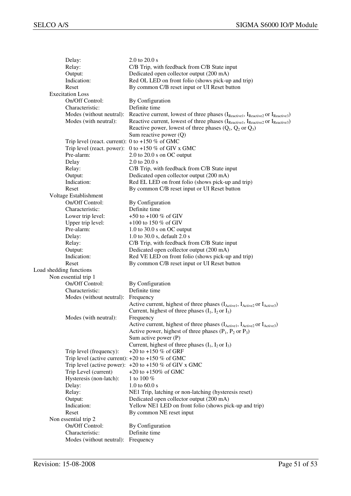| Delay:                                                | $2.0$ to $20.0$ s                                                                                              |
|-------------------------------------------------------|----------------------------------------------------------------------------------------------------------------|
| Relay:                                                | C/B Trip, with feedback from C/B State input                                                                   |
| Output:                                               | Dedicated open collector output (200 mA)                                                                       |
| Indication:                                           | Red OL LED on front folio (shows pick-up and trip)                                                             |
| Reset                                                 | By common C/B reset input or UI Reset button                                                                   |
| <b>Execitation Loss</b>                               |                                                                                                                |
| On/Off Control:                                       | By Configuration                                                                                               |
| Characteristic:                                       | Definite time                                                                                                  |
| Modes (without neutral):                              | Reactive current, lowest of three phases $(I_{Reactive1}, I_{Reactive2}$ or $I_{Reactive3})$                   |
| Modes (with neutral):                                 | Reactive current, lowest of three phases $(I_{Reactive1}, I_{Reactive2}$ or $I_{Reactive3})$                   |
|                                                       | Reactive power, lowest of three phases $(Q_1, Q_2 \text{ or } Q_3)$                                            |
|                                                       | Sum reactive power $(Q)$                                                                                       |
| Trip level (react. current): $0$ to +150 % of GMC     |                                                                                                                |
|                                                       | Trip level (react. power): $0$ to +150 % of GIV x GMC                                                          |
| Pre-alarm:                                            | $2.0$ to $20.0$ s on OC output                                                                                 |
| Delay                                                 | 2.0 to $20.0 s$                                                                                                |
| Relay:                                                | C/B Trip, with feedback from C/B State input                                                                   |
| Output:                                               | Dedicated open collector output (200 mA)                                                                       |
| Indication:                                           | Red EL LED on front folio (shows pick-up and trip)                                                             |
| Reset                                                 | By common C/B reset input or UI Reset button                                                                   |
| Voltage Establishment                                 |                                                                                                                |
| On/Off Control:                                       | By Configuration                                                                                               |
| Characteristic:                                       | Definite time                                                                                                  |
| Lower trip level:                                     | +50 to +100 % of GIV                                                                                           |
| Upper trip level:                                     | +100 to 150 $%$ of GIV                                                                                         |
| Pre-alarm:                                            | $1.0$ to 30.0 s on OC output                                                                                   |
| Delay:                                                | 1.0 to 30.0 s, default 2.0 s                                                                                   |
| Relay:                                                | C/B Trip, with feedback from C/B State input                                                                   |
| Output:                                               | Dedicated open collector output (200 mA)                                                                       |
| Indication:                                           | Red VE LED on front folio (shows pick-up and trip)                                                             |
| Reset                                                 | By common C/B reset input or UI Reset button                                                                   |
| Load shedding functions                               |                                                                                                                |
| Non essential trip 1                                  |                                                                                                                |
| On/Off Control:                                       | By Configuration                                                                                               |
| Characteristic:                                       | Definite time                                                                                                  |
| Modes (without neutral):                              | Frequency                                                                                                      |
|                                                       | Active current, highest of three phases (I <sub>Active1</sub> , I <sub>Active2</sub> or I <sub>Active3</sub> ) |
|                                                       | Current, highest of three phases $(I_1, I_2 \text{ or } I_3)$                                                  |
| Modes (with neutral):                                 | Frequency                                                                                                      |
|                                                       | Active current, highest of three phases (IActive1, IActive2 or IActive3)                                       |
|                                                       | Active power, highest of three phases $(P_1, P_2 \text{ or } P_3)$                                             |
|                                                       | Sum active power (P)                                                                                           |
|                                                       | Current, highest of three phases $(I_1, I_2$ or $I_3)$                                                         |
| Trip level (frequency):                               | $+20$ to $+150\%$ of GRF                                                                                       |
| Trip level (active current): $+20$ to $+150$ % of GMC |                                                                                                                |
|                                                       | Trip level (active power): $+20$ to $+150\%$ of GIV x GMC                                                      |
| Trip Level (current)                                  | +20 to +150% of GMC                                                                                            |
| Hysteresis (non-latch):                               | 1 to 100 %                                                                                                     |
| Delay:                                                | 1.0 to $60.0 s$                                                                                                |
| Relay:                                                | NE1 Trip, latching or non-latching (hysteresis reset)                                                          |
| Output:                                               | Dedicated open collector output (200 mA)                                                                       |
| Indication:                                           | Yellow NE1 LED on front folio (shows pick-up and trip)                                                         |
| Reset                                                 | By common NE reset input                                                                                       |
| Non essential trip 2                                  |                                                                                                                |
| On/Off Control:                                       | By Configuration                                                                                               |
| Characteristic:                                       | Definite time                                                                                                  |
| Modes (without neutral):                              | Frequency                                                                                                      |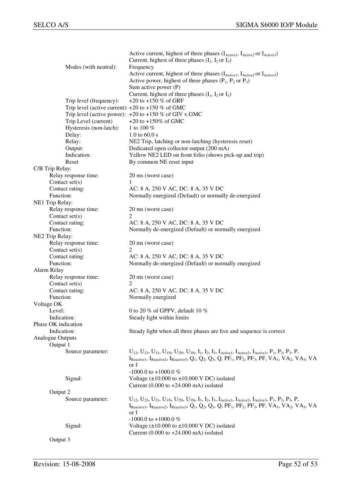|                                                       | Active current, highest of three phases (I <sub>Active1</sub> , I <sub>Active2</sub> or I <sub>Active3</sub> )                                                                                                                                                                                                                                        |
|-------------------------------------------------------|-------------------------------------------------------------------------------------------------------------------------------------------------------------------------------------------------------------------------------------------------------------------------------------------------------------------------------------------------------|
|                                                       | Current, highest of three phases $(I_1, I_2$ or $I_3$ )                                                                                                                                                                                                                                                                                               |
| Modes (with neutral):                                 | Frequency                                                                                                                                                                                                                                                                                                                                             |
|                                                       | Active current, highest of three phases (IActive1, IActive2 or IActive3)                                                                                                                                                                                                                                                                              |
|                                                       | Active power, highest of three phases $(P_1, P_2 \text{ or } P_3)$                                                                                                                                                                                                                                                                                    |
|                                                       | Sum active power (P)                                                                                                                                                                                                                                                                                                                                  |
|                                                       | Current, highest of three phases $(I_1, I_2 \text{ or } I_3)$                                                                                                                                                                                                                                                                                         |
| Trip level (frequency):                               | +20 to +150 % of GRF                                                                                                                                                                                                                                                                                                                                  |
| Trip level (active current): $+20$ to $+150$ % of GMC |                                                                                                                                                                                                                                                                                                                                                       |
|                                                       | Trip level (active power): $+20$ to $+150$ % of GIV x GMC                                                                                                                                                                                                                                                                                             |
| Trip Level (current)                                  | +20 to +150% of GMC                                                                                                                                                                                                                                                                                                                                   |
| Hysteresis (non-latch):                               | 1 to 100 $%$                                                                                                                                                                                                                                                                                                                                          |
| Delay:                                                | 1.0 to $60.0 s$                                                                                                                                                                                                                                                                                                                                       |
| Relay:                                                | NE2 Trip, latching or non-latching (hysteresis reset)                                                                                                                                                                                                                                                                                                 |
| Output:<br>Indication:                                | Dedicated open collector output (200 mA)<br>Yellow NE2 LED on front folio (shows pick-up and trip)                                                                                                                                                                                                                                                    |
| Reset                                                 | By common NE reset input                                                                                                                                                                                                                                                                                                                              |
|                                                       |                                                                                                                                                                                                                                                                                                                                                       |
| C/B Trip Relay:<br>Relay response time:               | 20 ms (worst case)                                                                                                                                                                                                                                                                                                                                    |
| Contact $set(s)$                                      |                                                                                                                                                                                                                                                                                                                                                       |
| Contact rating:                                       | AC: 8 A, 250 V AC, DC: 8 A, 35 V DC                                                                                                                                                                                                                                                                                                                   |
| Function:                                             | Normally energized (Default) or normally de-energized                                                                                                                                                                                                                                                                                                 |
| NE1 Trip Relay:                                       |                                                                                                                                                                                                                                                                                                                                                       |
| Relay response time:                                  | 20 ms (worst case)                                                                                                                                                                                                                                                                                                                                    |
| Contact $set(s)$                                      | 2                                                                                                                                                                                                                                                                                                                                                     |
| Contact rating:                                       | AC: 8 A, 250 V AC, DC: 8 A, 35 V DC                                                                                                                                                                                                                                                                                                                   |
| Function:                                             | Normally de-energized (Default) or normally energized                                                                                                                                                                                                                                                                                                 |
| NE2 Trip Relay:                                       |                                                                                                                                                                                                                                                                                                                                                       |
| Relay response time:                                  | 20 ms (worst case)                                                                                                                                                                                                                                                                                                                                    |
| Contact set(s)                                        | 2                                                                                                                                                                                                                                                                                                                                                     |
| Contact rating:                                       | AC: 8 A, 250 V AC, DC: 8 A, 35 V DC                                                                                                                                                                                                                                                                                                                   |
| Function:                                             | Normally de-energized (Default) or normally energized                                                                                                                                                                                                                                                                                                 |
| Alarm Relay                                           |                                                                                                                                                                                                                                                                                                                                                       |
| Relay response time:                                  | 20 ms (worst case)                                                                                                                                                                                                                                                                                                                                    |
| Contact $set(s)$                                      | 2                                                                                                                                                                                                                                                                                                                                                     |
| Contact rating:                                       | AC: 8 A, 250 V AC, DC: 8 A, 35 V DC                                                                                                                                                                                                                                                                                                                   |
| Function:                                             | Normally energized                                                                                                                                                                                                                                                                                                                                    |
| Voltage OK                                            |                                                                                                                                                                                                                                                                                                                                                       |
| Level:                                                | 0 to 20 % of GPPV, default 10 %                                                                                                                                                                                                                                                                                                                       |
| Indication:                                           | Steady light within limits                                                                                                                                                                                                                                                                                                                            |
| Phase OK indication                                   |                                                                                                                                                                                                                                                                                                                                                       |
| Indication:                                           | Steady light when all three phases are live and sequence is correct                                                                                                                                                                                                                                                                                   |
| Analogue Outputs                                      |                                                                                                                                                                                                                                                                                                                                                       |
| Output 1                                              |                                                                                                                                                                                                                                                                                                                                                       |
| Source parameter:                                     | $U_{12}$ , $U_{23}$ , $U_{31}$ , $U_{1N}$ , $U_{2N}$ , $U_{3N}$ , $I_1$ , $I_2$ , $I_3$ , $I_{\text{Active1}}$ , $I_{\text{Active2}}$ , $I_{\text{Active3}}$ , $P_1$ , $P_2$ , $P_3$ , $P$ ,                                                                                                                                                          |
|                                                       | $I_{\text{Reactive1}}$ , $I_{\text{Reactive2}}$ , $I_{\text{Reactive3}}$ , $Q_1$ , $Q_2$ , $Q_3$ , $Q$ , $PF_1$ , $PF_2$ , $PF_3$ , $PF$ , $VA_1$ , $VA_2$ , $VA_3$ , $VA$                                                                                                                                                                            |
|                                                       | or f                                                                                                                                                                                                                                                                                                                                                  |
|                                                       | -1000.0 to +1000.0 %                                                                                                                                                                                                                                                                                                                                  |
| Signal:                                               | Voltage $(\pm 10.000 \text{ to } \pm 10.000 \text{ V DC})$ isolated                                                                                                                                                                                                                                                                                   |
| Output 2                                              | Current $(0.000 \text{ to } +24.000 \text{ mA})$ isolated                                                                                                                                                                                                                                                                                             |
|                                                       |                                                                                                                                                                                                                                                                                                                                                       |
| Source parameter:                                     | $U_{12}$ , $U_{23}$ , $U_{31}$ , $U_{1N}$ , $U_{2N}$ , $U_{3N}$ , $I_1$ , $I_2$ , $I_3$ , $I_{\text{Active1}}$ , $I_{\text{Active2}}$ , $I_{\text{Active3}}$ , $P_1$ , $P_2$ , $P_3$ , $P$ ,<br>$I_{Reactive1}$ , $I_{Reactive2}$ , $I_{Reactive3}$ , $Q_1$ , $Q_2$ , $Q_3$ , $Q$ , $PF_1$ , $PF_2$ , $PF_3$ , $PF$ , $VA_1$ , $VA_2$ , $VA_3$ , $VA$ |
|                                                       | or f                                                                                                                                                                                                                                                                                                                                                  |
|                                                       | -1000.0 to +1000.0 %                                                                                                                                                                                                                                                                                                                                  |
| Signal:                                               | Voltage $(\pm 10.000 \text{ to } \pm 10.000 \text{ V DC})$ isolated                                                                                                                                                                                                                                                                                   |
|                                                       | Current $(0.000 \text{ to } +24.000 \text{ mA})$ isolated                                                                                                                                                                                                                                                                                             |
| Output 3                                              |                                                                                                                                                                                                                                                                                                                                                       |
|                                                       |                                                                                                                                                                                                                                                                                                                                                       |